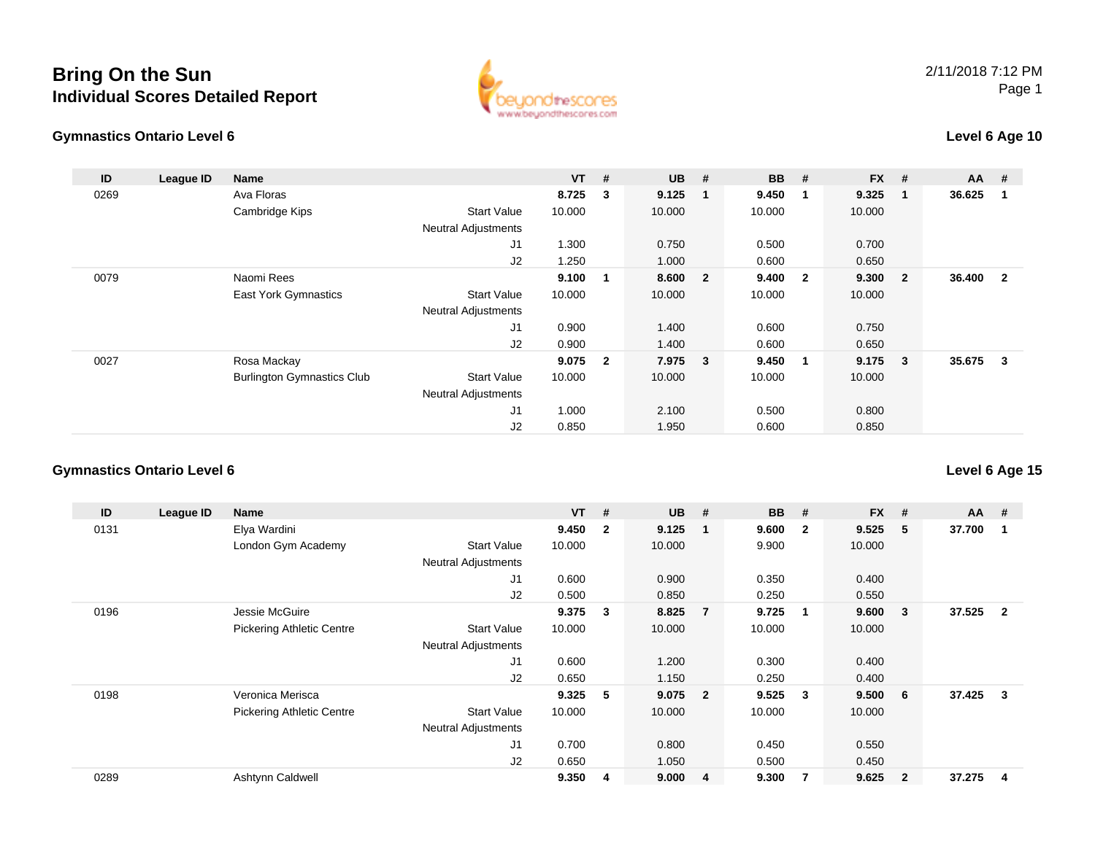#### **Gymnastics Ontario Level 6**



### **Level 6 Age 10**

| ID   | League ID | <b>Name</b>                       |                            | $VT$ # |                | $UB$ #  |                | <b>BB</b> | #                       | <b>FX</b> | #                       | <b>AA</b> | - #            |
|------|-----------|-----------------------------------|----------------------------|--------|----------------|---------|----------------|-----------|-------------------------|-----------|-------------------------|-----------|----------------|
| 0269 |           | Ava Floras                        |                            | 8.725  | 3              | 9.125   | 1              | 9.450     | - 1                     | 9.325     | - 1                     | 36.625    | -1             |
|      |           | Cambridge Kips                    | <b>Start Value</b>         | 10.000 |                | 10.000  |                | 10.000    |                         | 10.000    |                         |           |                |
|      |           |                                   | <b>Neutral Adjustments</b> |        |                |         |                |           |                         |           |                         |           |                |
|      |           |                                   | J1                         | 1.300  |                | 0.750   |                | 0.500     |                         | 0.700     |                         |           |                |
|      |           |                                   | J2                         | 1.250  |                | 1.000   |                | 0.600     |                         | 0.650     |                         |           |                |
| 0079 |           | Naomi Rees                        |                            | 9.100  |                | 8.600   | $\overline{2}$ | 9.400     | $\overline{\mathbf{2}}$ | 9.300     | $\overline{\mathbf{2}}$ | 36.400    | $\overline{2}$ |
|      |           | <b>East York Gymnastics</b>       | <b>Start Value</b>         | 10.000 |                | 10.000  |                | 10.000    |                         | 10.000    |                         |           |                |
|      |           |                                   | <b>Neutral Adjustments</b> |        |                |         |                |           |                         |           |                         |           |                |
|      |           |                                   | J1                         | 0.900  |                | 1.400   |                | 0.600     |                         | 0.750     |                         |           |                |
|      |           |                                   | J2                         | 0.900  |                | 1.400   |                | 0.600     |                         | 0.650     |                         |           |                |
| 0027 |           | Rosa Mackay                       |                            | 9.075  | $\overline{2}$ | 7.975 3 |                | 9.450     | $\overline{\mathbf{1}}$ | $9.175$ 3 |                         | 35.675    | - 3            |
|      |           | <b>Burlington Gymnastics Club</b> | <b>Start Value</b>         | 10.000 |                | 10.000  |                | 10.000    |                         | 10.000    |                         |           |                |
|      |           |                                   | <b>Neutral Adjustments</b> |        |                |         |                |           |                         |           |                         |           |                |
|      |           |                                   | J1                         | 1.000  |                | 2.100   |                | 0.500     |                         | 0.800     |                         |           |                |
|      |           |                                   | J2                         | 0.850  |                | 1.950   |                | 0.600     |                         | 0.850     |                         |           |                |

### **Gymnastics Ontario Level 6**

| ID   | League ID | Name                             |                            | <b>VT</b> | #                       | <b>UB</b> | #                       | <b>BB</b> | #                       | <b>FX</b> | #              | $AA$ # |                |
|------|-----------|----------------------------------|----------------------------|-----------|-------------------------|-----------|-------------------------|-----------|-------------------------|-----------|----------------|--------|----------------|
| 0131 |           | Elya Wardini                     |                            | 9.450     | $\overline{\mathbf{2}}$ | 9.125     | $\mathbf 1$             | 9.600     | $\overline{\mathbf{2}}$ | 9.525     | 5              | 37.700 | 1              |
|      |           | London Gym Academy               | <b>Start Value</b>         | 10.000    |                         | 10.000    |                         | 9.900     |                         | 10.000    |                |        |                |
|      |           |                                  | <b>Neutral Adjustments</b> |           |                         |           |                         |           |                         |           |                |        |                |
|      |           |                                  | J1                         | 0.600     |                         | 0.900     |                         | 0.350     |                         | 0.400     |                |        |                |
|      |           |                                  | J2                         | 0.500     |                         | 0.850     |                         | 0.250     |                         | 0.550     |                |        |                |
| 0196 |           | Jessie McGuire                   |                            | 9.375     | 3                       | 8.825     | $\overline{7}$          | 9.725     | $\mathbf 1$             | 9.600     | 3              | 37.525 | $\overline{2}$ |
|      |           | <b>Pickering Athletic Centre</b> | <b>Start Value</b>         | 10.000    |                         | 10.000    |                         | 10.000    |                         | 10.000    |                |        |                |
|      |           |                                  | <b>Neutral Adjustments</b> |           |                         |           |                         |           |                         |           |                |        |                |
|      |           |                                  | J <sub>1</sub>             | 0.600     |                         | 1.200     |                         | 0.300     |                         | 0.400     |                |        |                |
|      |           |                                  | J2                         | 0.650     |                         | 1.150     |                         | 0.250     |                         | 0.400     |                |        |                |
| 0198 |           | Veronica Merisca                 |                            | 9.325     | 5                       | 9.075     | $\overline{\mathbf{2}}$ | 9.525     | -3                      | 9.500     | 6              | 37.425 | 3              |
|      |           | <b>Pickering Athletic Centre</b> | <b>Start Value</b>         | 10.000    |                         | 10.000    |                         | 10.000    |                         | 10.000    |                |        |                |
|      |           |                                  | <b>Neutral Adjustments</b> |           |                         |           |                         |           |                         |           |                |        |                |
|      |           |                                  | J1                         | 0.700     |                         | 0.800     |                         | 0.450     |                         | 0.550     |                |        |                |
|      |           |                                  | J2                         | 0.650     |                         | 1.050     |                         | 0.500     |                         | 0.450     |                |        |                |
| 0289 |           | Ashtynn Caldwell                 |                            | 9.350     | -4                      | 9.000     | $\overline{4}$          | 9.300     | -7                      | 9.625     | $\overline{2}$ | 37.275 | 4              |

### **Level 6 Age 15**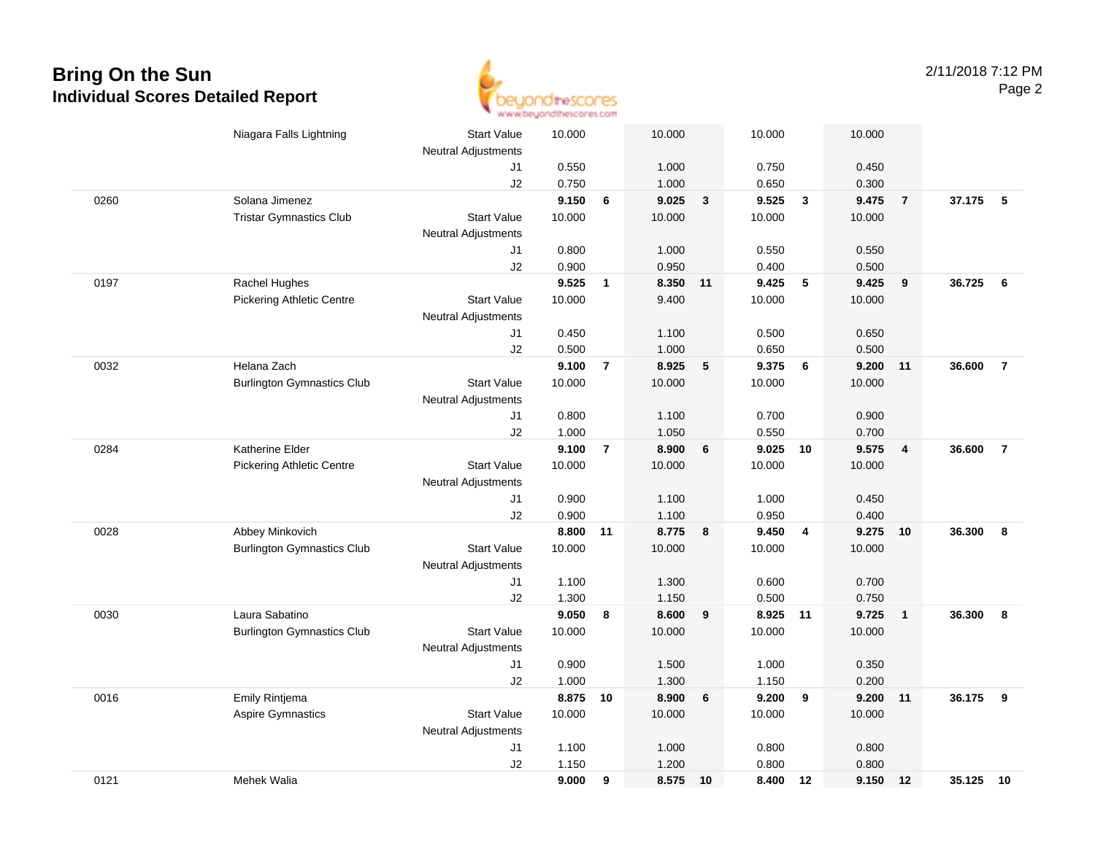

|      | Niagara Falls Lightning           | <b>Start Value</b>               | 10.000         |                | 10.000         |              | 10.000         |                | 10.000         |                         |           |                |
|------|-----------------------------------|----------------------------------|----------------|----------------|----------------|--------------|----------------|----------------|----------------|-------------------------|-----------|----------------|
|      |                                   | <b>Neutral Adjustments</b>       |                |                |                |              |                |                |                |                         |           |                |
|      |                                   | J1                               | 0.550          |                | 1.000          |              | 0.750          |                | 0.450          |                         |           |                |
|      | Solana Jimenez                    | J2                               | 0.750<br>9.150 | 6              | 1.000<br>9.025 |              | 0.650<br>9.525 | $\mathbf{3}$   | 0.300<br>9.475 |                         | 37.175    | 5              |
| 0260 |                                   | <b>Start Value</b>               | 10.000         |                | 10.000         | $\mathbf{3}$ | 10.000         |                | 10.000         | $\overline{7}$          |           |                |
|      | <b>Tristar Gymnastics Club</b>    |                                  |                |                |                |              |                |                |                |                         |           |                |
|      |                                   | <b>Neutral Adjustments</b><br>J1 | 0.800          |                | 1.000          |              | 0.550          |                | 0.550          |                         |           |                |
|      |                                   | J2                               | 0.900          |                | 0.950          |              | 0.400          |                | 0.500          |                         |           |                |
| 0197 | Rachel Hughes                     |                                  | 9.525          | $\mathbf{1}$   | 8.350 11       |              | 9.425          | 5              | 9.425          | 9                       | 36.725    | 6              |
|      | <b>Pickering Athletic Centre</b>  | <b>Start Value</b>               | 10.000         |                | 9.400          |              | 10.000         |                | 10.000         |                         |           |                |
|      |                                   | <b>Neutral Adjustments</b>       |                |                |                |              |                |                |                |                         |           |                |
|      |                                   | J1                               | 0.450          |                | 1.100          |              | 0.500          |                | 0.650          |                         |           |                |
|      |                                   | J2                               | 0.500          |                | 1.000          |              | 0.650          |                | 0.500          |                         |           |                |
| 0032 | Helana Zach                       |                                  | 9.100          | $\overline{7}$ | 8.925          | 5            | 9.375          | - 6            | 9.200          | 11                      | 36.600    | $\overline{7}$ |
|      | <b>Burlington Gymnastics Club</b> | <b>Start Value</b>               | 10.000         |                | 10.000         |              | 10.000         |                | 10.000         |                         |           |                |
|      |                                   | <b>Neutral Adjustments</b>       |                |                |                |              |                |                |                |                         |           |                |
|      |                                   | J1                               | 0.800          |                | 1.100          |              | 0.700          |                | 0.900          |                         |           |                |
|      |                                   | J2                               | 1.000          |                | 1.050          |              | 0.550          |                | 0.700          |                         |           |                |
| 0284 | Katherine Elder                   |                                  | 9.100          | $\overline{7}$ | 8.900          | 6            | 9.025          | 10             | 9.575          | $\overline{4}$          | 36,600    | $\overline{7}$ |
|      | <b>Pickering Athletic Centre</b>  | <b>Start Value</b>               | 10.000         |                | 10.000         |              | 10.000         |                | 10.000         |                         |           |                |
|      |                                   | <b>Neutral Adjustments</b>       |                |                |                |              |                |                |                |                         |           |                |
|      |                                   | J1                               | 0.900          |                | 1.100          |              | 1.000          |                | 0.450          |                         |           |                |
|      |                                   | J2                               | 0.900          |                | 1.100          |              | 0.950          |                | 0.400          |                         |           |                |
| 0028 | Abbey Minkovich                   |                                  | 8.800 11       |                | 8.775          | 8            | 9.450          | $\overline{4}$ | 9.275          | 10                      | 36,300    | 8              |
|      | <b>Burlington Gymnastics Club</b> | <b>Start Value</b>               | 10.000         |                | 10.000         |              | 10.000         |                | 10.000         |                         |           |                |
|      |                                   | <b>Neutral Adjustments</b>       |                |                |                |              |                |                |                |                         |           |                |
|      |                                   | J1                               | 1.100          |                | 1.300          |              | 0.600          |                | 0.700          |                         |           |                |
|      |                                   | J2                               | 1.300          |                | 1.150          |              | 0.500          |                | 0.750          |                         |           |                |
| 0030 | Laura Sabatino                    |                                  | 9.050          | 8              | 8.600          | 9            | 8.925 11       |                | 9.725          | $\overline{\mathbf{1}}$ | 36.300    | 8              |
|      | <b>Burlington Gymnastics Club</b> | <b>Start Value</b>               | 10.000         |                | 10.000         |              | 10.000         |                | 10.000         |                         |           |                |
|      |                                   | <b>Neutral Adjustments</b>       |                |                |                |              |                |                |                |                         |           |                |
|      |                                   | J1                               | 0.900          |                | 1.500          |              | 1.000          |                | 0.350          |                         |           |                |
|      |                                   | J2                               | 1.000          |                | 1.300          |              | 1.150          |                | 0.200          |                         |           |                |
| 0016 | Emily Rintjema                    |                                  | 8.875          | 10             | 8.900          | 6            | 9.200          | 9              | 9.200          | 11                      | 36.175    | 9              |
|      | <b>Aspire Gymnastics</b>          | <b>Start Value</b>               | 10.000         |                | 10.000         |              | 10.000         |                | 10.000         |                         |           |                |
|      |                                   | Neutral Adjustments              |                |                |                |              |                |                |                |                         |           |                |
|      |                                   | J1                               | 1.100          |                | 1.000          |              | 0.800          |                | 0.800          |                         |           |                |
|      |                                   | J2                               | 1.150          |                | 1.200          |              | 0.800          |                | 0.800          |                         |           |                |
| 0121 | Mehek Walia                       |                                  | 9.000          | 9              | 8.575 10       |              | 8.400          | 12             | 9.150          | 12                      | 35.125 10 |                |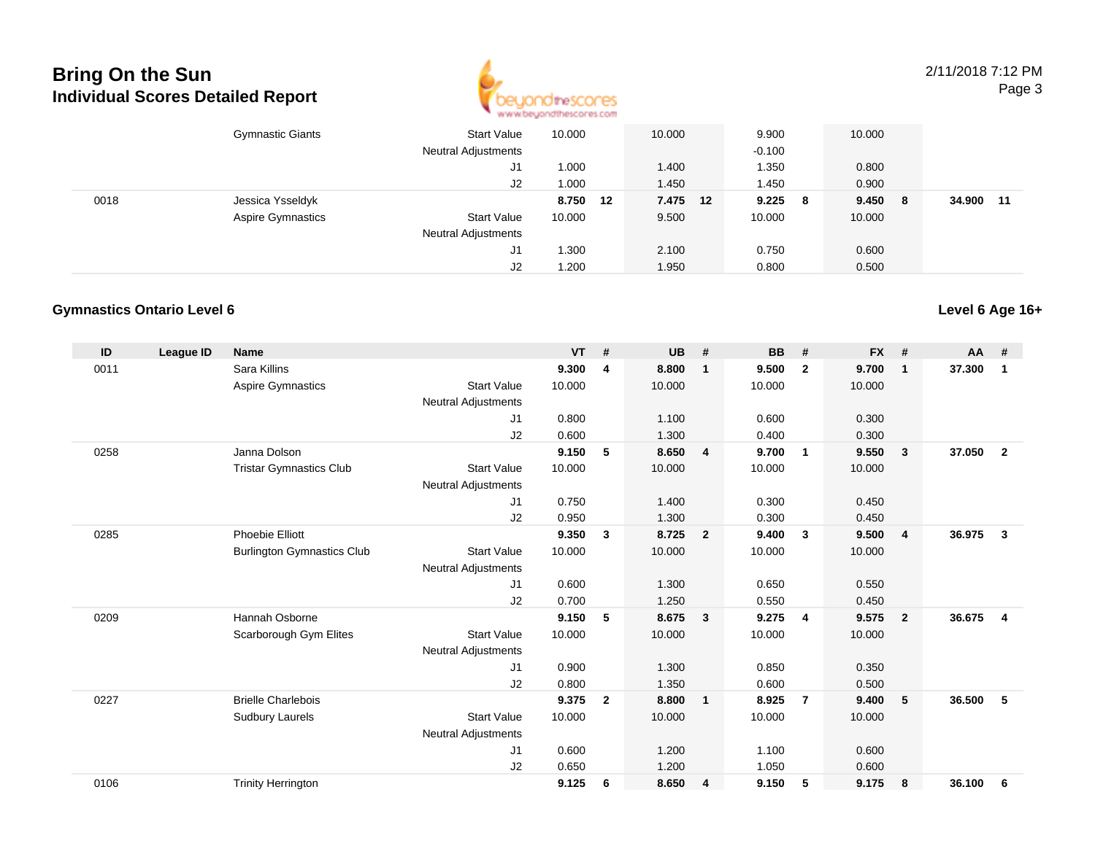

2/11/2018 7:12 PMPage 3

|      | <b>Gymnastic Giants</b>  | <b>Start Value</b>         | 10.000   | 10.000   | 9.900        | 10.000      |               |
|------|--------------------------|----------------------------|----------|----------|--------------|-------------|---------------|
|      |                          | <b>Neutral Adjustments</b> |          |          | $-0.100$     |             |               |
|      |                          | J1                         | 1.000    | 1.400    | 1.350        | 0.800       |               |
|      |                          | J2                         | 1.000    | 1.450    | 1.450        | 0.900       |               |
| 0018 | Jessica Ysseldyk         |                            | 8.750 12 | 7.475 12 | 9.225<br>- 8 | 9.450<br>-8 | 34.900<br>-11 |
|      | <b>Aspire Gymnastics</b> | <b>Start Value</b>         | 10.000   | 9.500    | 10.000       | 10.000      |               |
|      |                          | <b>Neutral Adjustments</b> |          |          |              |             |               |
|      |                          | J1                         | 1.300    | 2.100    | 0.750        | 0.600       |               |
|      |                          | J2                         | 1.200    | 1.950    | 0.800        | 0.500       |               |

#### **Gymnastics Ontario Level 6**

| ID   | <b>League ID</b> | <b>Name</b>                       |                            | $VT$ # |                | <b>UB</b> | #                       | <b>BB</b> | #              | <b>FX</b> | #              | $AA$ # |                |
|------|------------------|-----------------------------------|----------------------------|--------|----------------|-----------|-------------------------|-----------|----------------|-----------|----------------|--------|----------------|
| 0011 |                  | Sara Killins                      |                            | 9.300  | 4              | 8.800     | $\overline{\mathbf{1}}$ | 9.500     | $\overline{2}$ | 9.700     | $\mathbf 1$    | 37.300 | 1              |
|      |                  | Aspire Gymnastics                 | <b>Start Value</b>         | 10.000 |                | 10.000    |                         | 10.000    |                | 10.000    |                |        |                |
|      |                  |                                   | <b>Neutral Adjustments</b> |        |                |           |                         |           |                |           |                |        |                |
|      |                  |                                   | J1                         | 0.800  |                | 1.100     |                         | 0.600     |                | 0.300     |                |        |                |
|      |                  |                                   | J2                         | 0.600  |                | 1.300     |                         | 0.400     |                | 0.300     |                |        |                |
| 0258 |                  | Janna Dolson                      |                            | 9.150  | 5              | 8.650     | $\overline{4}$          | 9.700     | $\overline{1}$ | 9.550     | 3              | 37.050 | $\overline{2}$ |
|      |                  | <b>Tristar Gymnastics Club</b>    | <b>Start Value</b>         | 10.000 |                | 10.000    |                         | 10.000    |                | 10.000    |                |        |                |
|      |                  |                                   | <b>Neutral Adjustments</b> |        |                |           |                         |           |                |           |                |        |                |
|      |                  |                                   | J1                         | 0.750  |                | 1.400     |                         | 0.300     |                | 0.450     |                |        |                |
|      |                  |                                   | J2                         | 0.950  |                | 1.300     |                         | 0.300     |                | 0.450     |                |        |                |
| 0285 |                  | <b>Phoebie Elliott</b>            |                            | 9.350  | 3              | 8.725     | $\overline{\mathbf{2}}$ | 9.400     | 3              | 9.500     | 4              | 36.975 | 3              |
|      |                  | <b>Burlington Gymnastics Club</b> | <b>Start Value</b>         | 10.000 |                | 10.000    |                         | 10.000    |                | 10.000    |                |        |                |
|      |                  |                                   | <b>Neutral Adjustments</b> |        |                |           |                         |           |                |           |                |        |                |
|      |                  |                                   | J <sub>1</sub>             | 0.600  |                | 1.300     |                         | 0.650     |                | 0.550     |                |        |                |
|      |                  |                                   | J <sub>2</sub>             | 0.700  |                | 1.250     |                         | 0.550     |                | 0.450     |                |        |                |
| 0209 |                  | Hannah Osborne                    |                            | 9.150  | 5              | 8.675     | $\overline{\mathbf{3}}$ | 9.275     | $\overline{4}$ | 9.575     | $\overline{2}$ | 36.675 | 4              |
|      |                  | Scarborough Gym Elites            | <b>Start Value</b>         | 10.000 |                | 10.000    |                         | 10.000    |                | 10.000    |                |        |                |
|      |                  |                                   | <b>Neutral Adjustments</b> |        |                |           |                         |           |                |           |                |        |                |
|      |                  |                                   | J <sub>1</sub>             | 0.900  |                | 1.300     |                         | 0.850     |                | 0.350     |                |        |                |
|      |                  |                                   | J2                         | 0.800  |                | 1.350     |                         | 0.600     |                | 0.500     |                |        |                |
| 0227 |                  | <b>Brielle Charlebois</b>         |                            | 9.375  | $\overline{2}$ | 8.800     | $\overline{1}$          | 8.925     | $\overline{7}$ | 9.400     | 5              | 36.500 | 5              |
|      |                  | <b>Sudbury Laurels</b>            | <b>Start Value</b>         | 10.000 |                | 10.000    |                         | 10.000    |                | 10.000    |                |        |                |
|      |                  |                                   | <b>Neutral Adjustments</b> |        |                |           |                         |           |                |           |                |        |                |
|      |                  |                                   | J <sub>1</sub>             | 0.600  |                | 1.200     |                         | 1.100     |                | 0.600     |                |        |                |
|      |                  |                                   | J2                         | 0.650  |                | 1.200     |                         | 1.050     |                | 0.600     |                |        |                |
| 0106 |                  | <b>Trinity Herrington</b>         |                            | 9.125  | 6              | 8.650     | $\overline{4}$          | 9.150     | 5              | 9.175     | 8              | 36.100 | 6              |
|      |                  |                                   |                            |        |                |           |                         |           |                |           |                |        |                |

### **Level 6 Age 16+**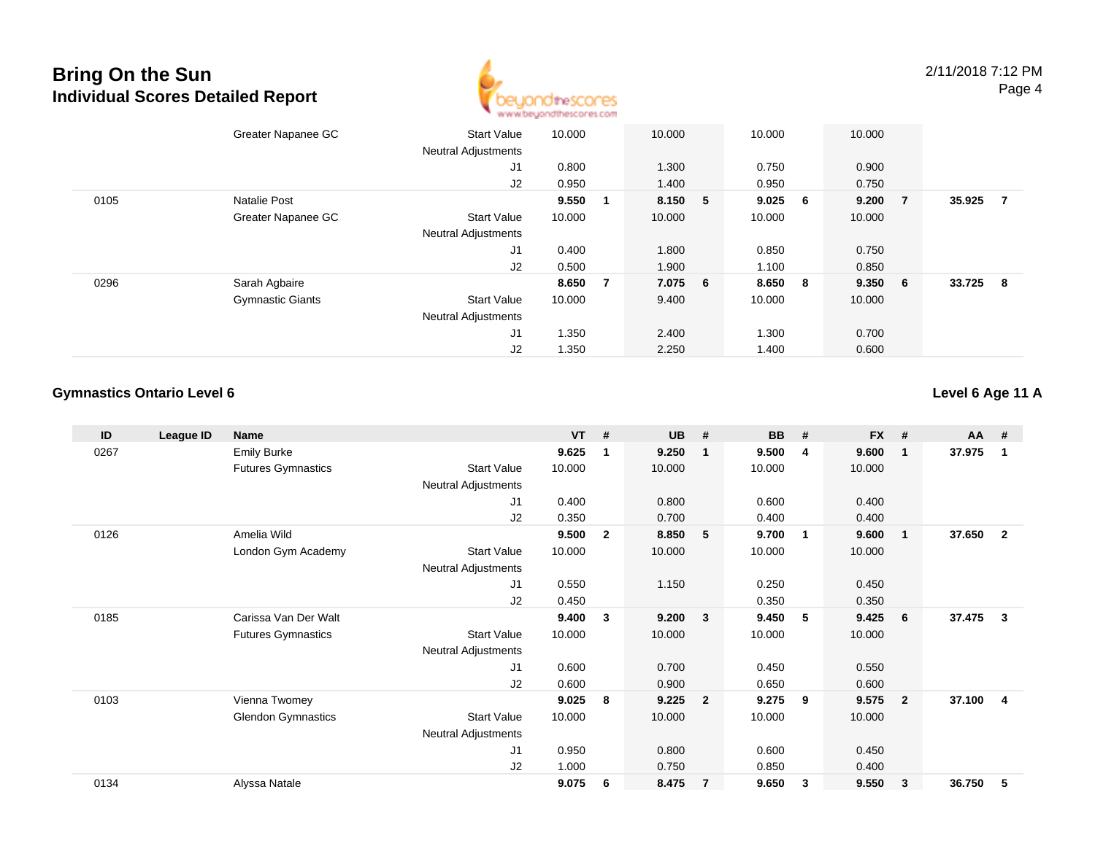

|      | Greater Napanee GC      | <b>Start Value</b>         | 10.000 |    | 10.000  | 10.000  |                | 10.000  |                |        |                |
|------|-------------------------|----------------------------|--------|----|---------|---------|----------------|---------|----------------|--------|----------------|
|      |                         | <b>Neutral Adjustments</b> |        |    |         |         |                |         |                |        |                |
|      |                         | J1                         | 0.800  |    | 1.300   | 0.750   |                | 0.900   |                |        |                |
|      |                         | J2                         | 0.950  |    | 1.400   | 0.950   |                | 0.750   |                |        |                |
| 0105 | Natalie Post            |                            | 9.550  | -1 | 8.150 5 | 9.025   | 6 <sup>1</sup> | 9.200   | $\overline{7}$ | 35.925 | $\overline{7}$ |
|      | Greater Napanee GC      | <b>Start Value</b>         | 10.000 |    | 10.000  | 10.000  |                | 10.000  |                |        |                |
|      |                         | <b>Neutral Adjustments</b> |        |    |         |         |                |         |                |        |                |
|      |                         | J1                         | 0.400  |    | 1.800   | 0.850   |                | 0.750   |                |        |                |
|      |                         | J2                         | 0.500  |    | 1.900   | 1.100   |                | 0.850   |                |        |                |
| 0296 | Sarah Agbaire           |                            | 8.650  | 7  | 7.075 6 | 8.650 8 |                | 9.350 6 |                | 33.725 | - 8            |
|      | <b>Gymnastic Giants</b> | <b>Start Value</b>         | 10.000 |    | 9.400   | 10.000  |                | 10.000  |                |        |                |
|      |                         | <b>Neutral Adjustments</b> |        |    |         |         |                |         |                |        |                |
|      |                         | J1                         | 1.350  |    | 2.400   | 1.300   |                | 0.700   |                |        |                |
|      |                         | J2                         | 1.350  |    | 2.250   | 1.400   |                | 0.600   |                |        |                |

#### **Gymnastics Ontario Level 6**

#### **Level 6 Age 11 A**

| ID   | League ID | Name                      |                            | $VT$ # |                | <b>UB</b> | #              | <b>BB</b> | #  | <b>FX</b> | #                       | AA #   |                |
|------|-----------|---------------------------|----------------------------|--------|----------------|-----------|----------------|-----------|----|-----------|-------------------------|--------|----------------|
| 0267 |           | <b>Emily Burke</b>        |                            | 9.625  | $\mathbf 1$    | 9.250     | $\mathbf{1}$   | 9.500     | 4  | 9.600     | $\overline{\mathbf{1}}$ | 37.975 | -1             |
|      |           | <b>Futures Gymnastics</b> | <b>Start Value</b>         | 10.000 |                | 10.000    |                | 10.000    |    | 10.000    |                         |        |                |
|      |           |                           | Neutral Adjustments        |        |                |           |                |           |    |           |                         |        |                |
|      |           |                           | J1                         | 0.400  |                | 0.800     |                | 0.600     |    | 0.400     |                         |        |                |
|      |           |                           | J2                         | 0.350  |                | 0.700     |                | 0.400     |    | 0.400     |                         |        |                |
| 0126 |           | Amelia Wild               |                            | 9.500  | $\overline{2}$ | 8.850     | 5              | 9.700     | -1 | 9.600     | $\overline{\mathbf{1}}$ | 37.650 | $\overline{2}$ |
|      |           | London Gym Academy        | <b>Start Value</b>         | 10.000 |                | 10.000    |                | 10.000    |    | 10.000    |                         |        |                |
|      |           |                           | Neutral Adjustments        |        |                |           |                |           |    |           |                         |        |                |
|      |           |                           | J1                         | 0.550  |                | 1.150     |                | 0.250     |    | 0.450     |                         |        |                |
|      |           |                           | J2                         | 0.450  |                |           |                | 0.350     |    | 0.350     |                         |        |                |
| 0185 |           | Carissa Van Der Walt      |                            | 9.400  | 3              | 9.200     | $\mathbf{3}$   | 9.450     | 5  | 9.425     | 6                       | 37.475 | 3              |
|      |           | <b>Futures Gymnastics</b> | <b>Start Value</b>         | 10.000 |                | 10.000    |                | 10.000    |    | 10.000    |                         |        |                |
|      |           |                           | Neutral Adjustments        |        |                |           |                |           |    |           |                         |        |                |
|      |           |                           | J1                         | 0.600  |                | 0.700     |                | 0.450     |    | 0.550     |                         |        |                |
|      |           |                           | J <sub>2</sub>             | 0.600  |                | 0.900     |                | 0.650     |    | 0.600     |                         |        |                |
| 0103 |           | Vienna Twomey             |                            | 9.025  | 8              | 9.225     | $\overline{2}$ | 9.275     | 9  | 9.575     | $\overline{2}$          | 37.100 | 4              |
|      |           | <b>Glendon Gymnastics</b> | <b>Start Value</b>         | 10.000 |                | 10.000    |                | 10.000    |    | 10.000    |                         |        |                |
|      |           |                           | <b>Neutral Adjustments</b> |        |                |           |                |           |    |           |                         |        |                |
|      |           |                           | J1                         | 0.950  |                | 0.800     |                | 0.600     |    | 0.450     |                         |        |                |
|      |           |                           | J <sub>2</sub>             | 1.000  |                | 0.750     |                | 0.850     |    | 0.400     |                         |        |                |
| 0134 |           | Alyssa Natale             |                            | 9.075  | 6              | 8.475     | $\overline{7}$ | 9.650     | 3  | 9.550     | 3                       | 36.750 | 5              |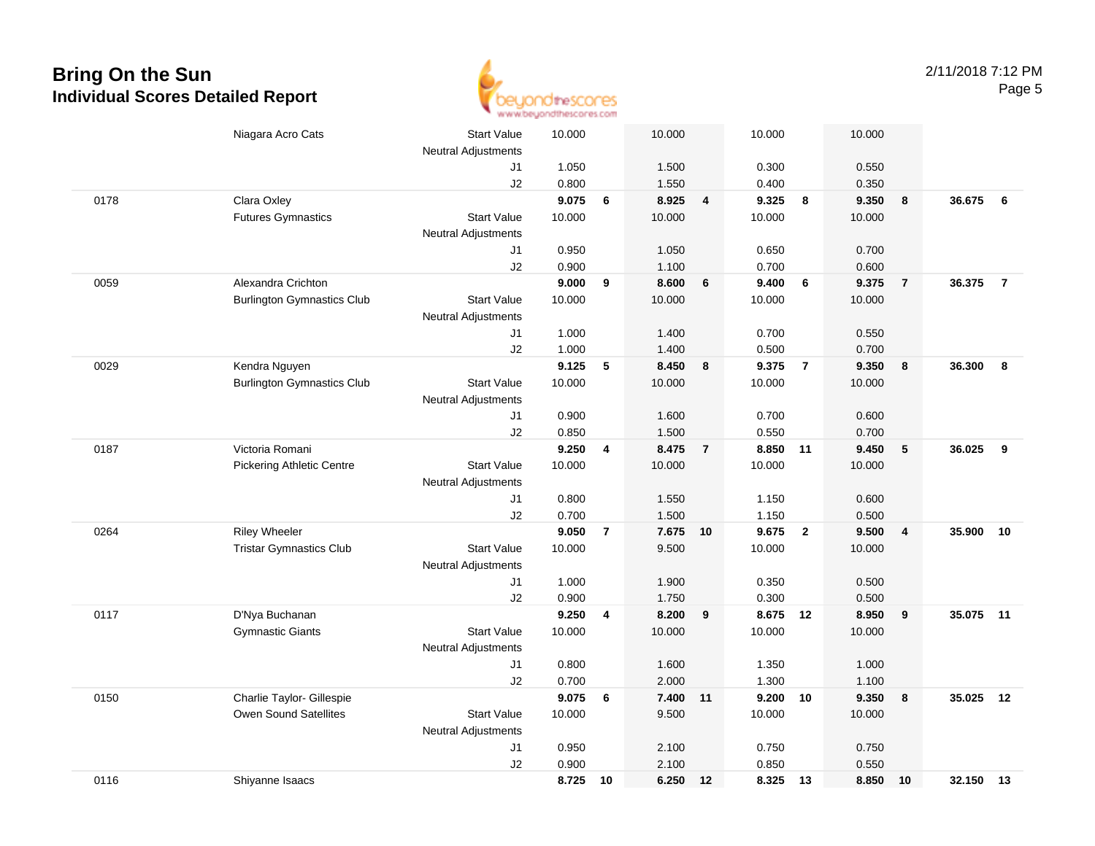

|      | Niagara Acro Cats                 | <b>Start Value</b>         | 10.000         |                         | 10.000         |                | 10.000            |                | 10.000         |                         |           |                |
|------|-----------------------------------|----------------------------|----------------|-------------------------|----------------|----------------|-------------------|----------------|----------------|-------------------------|-----------|----------------|
|      |                                   | <b>Neutral Adjustments</b> |                |                         |                |                |                   |                |                |                         |           |                |
|      |                                   | J1                         | 1.050          |                         | 1.500          |                | 0.300             |                | 0.550          |                         |           |                |
|      |                                   | J2                         | 0.800          |                         | 1.550          |                | 0.400             |                | 0.350          |                         |           |                |
| 0178 | Clara Oxley                       |                            | 9.075          | 6                       | 8.925          | $\overline{4}$ | 9.325             | 8              | 9.350          | $\overline{\mathbf{8}}$ | 36.675    | 6              |
|      | <b>Futures Gymnastics</b>         | <b>Start Value</b>         | 10.000         |                         | 10.000         |                | 10.000            |                | 10.000         |                         |           |                |
|      |                                   | <b>Neutral Adjustments</b> |                |                         |                |                |                   |                |                |                         |           |                |
|      |                                   | J1                         | 0.950          |                         | 1.050          |                | 0.650             |                | 0.700          |                         |           |                |
|      |                                   | J2                         | 0.900          |                         | 1.100          |                | 0.700             |                | 0.600          |                         |           |                |
| 0059 | Alexandra Crichton                |                            | 9.000          | 9                       | 8.600          | 6              | 9.400             | 6              | 9.375          | $\overline{7}$          | 36.375    | $\overline{7}$ |
|      | <b>Burlington Gymnastics Club</b> | <b>Start Value</b>         | 10.000         |                         | 10.000         |                | 10.000            |                | 10.000         |                         |           |                |
|      |                                   | <b>Neutral Adjustments</b> |                |                         |                |                |                   |                |                |                         |           |                |
|      |                                   | J1                         | 1.000          |                         | 1.400          |                | 0.700             |                | 0.550          |                         |           |                |
|      |                                   | J2                         | 1.000          |                         | 1.400          |                | 0.500             |                | 0.700          |                         |           |                |
| 0029 | Kendra Nguyen                     |                            | 9.125          | 5                       | 8.450          | 8              | 9.375             | $\overline{7}$ | 9.350          | $\boldsymbol{8}$        | 36.300    | 8              |
|      | <b>Burlington Gymnastics Club</b> | <b>Start Value</b>         | 10.000         |                         | 10.000         |                | 10.000            |                | 10.000         |                         |           |                |
|      |                                   | <b>Neutral Adjustments</b> |                |                         |                |                |                   |                |                |                         |           |                |
|      |                                   | J1                         | 0.900          |                         | 1.600          |                | 0.700             |                | 0.600          |                         |           |                |
|      |                                   | J2                         | 0.850          |                         | 1.500          |                | 0.550             |                | 0.700          |                         |           |                |
| 0187 | Victoria Romani                   |                            | 9.250          | $\overline{\mathbf{4}}$ | 8.475          | $\overline{7}$ | 8.850 11          |                | 9.450          | $\sqrt{5}$              | 36.025    | 9              |
|      | <b>Pickering Athletic Centre</b>  | <b>Start Value</b>         | 10.000         |                         | 10.000         |                | 10.000            |                | 10.000         |                         |           |                |
|      |                                   | <b>Neutral Adjustments</b> |                |                         |                |                |                   |                |                |                         |           |                |
|      |                                   | J1                         | 0.800          |                         | 1.550          |                | 1.150             |                | 0.600          |                         |           |                |
|      |                                   | J2                         | 0.700          |                         | 1.500          |                | 1.150             |                | 0.500          |                         |           |                |
| 0264 | <b>Riley Wheeler</b>              |                            | 9.050          | 7                       | 7.675          | 10             | 9.675             | $\overline{2}$ | 9.500          | $\overline{4}$          | 35.900    | 10             |
|      | <b>Tristar Gymnastics Club</b>    | <b>Start Value</b>         | 10.000         |                         | 9.500          |                | 10.000            |                | 10.000         |                         |           |                |
|      |                                   | <b>Neutral Adjustments</b> |                |                         |                |                |                   |                |                |                         |           |                |
|      |                                   | J1                         | 1.000          |                         | 1.900          |                | 0.350             |                | 0.500          |                         |           |                |
|      |                                   | J2                         | 0.900          |                         | 1.750          |                | 0.300<br>8.675 12 |                | 0.500          |                         | 35.075 11 |                |
| 0117 | D'Nya Buchanan                    | <b>Start Value</b>         | 9.250          | 4                       | 8.200          | 9              |                   |                | 8.950          | $\overline{9}$          |           |                |
|      | <b>Gymnastic Giants</b>           |                            | 10.000         |                         | 10.000         |                | 10.000            |                | 10.000         |                         |           |                |
|      |                                   | <b>Neutral Adjustments</b> |                |                         |                |                |                   |                |                |                         |           |                |
|      |                                   | J1<br>J2                   | 0.800<br>0.700 |                         | 1.600<br>2.000 |                | 1.350<br>1.300    |                | 1.000<br>1.100 |                         |           |                |
| 0150 | Charlie Taylor- Gillespie         |                            | 9.075          | 6                       | 7.400          | 11             | 9.200             | 10             | 9.350          | $\boldsymbol{8}$        | 35.025    | 12             |
|      | Owen Sound Satellites             | <b>Start Value</b>         | 10.000         |                         |                |                | 10.000            |                |                |                         |           |                |
|      |                                   |                            |                |                         | 9.500          |                |                   |                | 10.000         |                         |           |                |
|      |                                   | <b>Neutral Adjustments</b> | 0.950          |                         | 2.100          |                | 0.750             |                | 0.750          |                         |           |                |
|      |                                   | J1<br>J2                   | 0.900          |                         | 2.100          |                | 0.850             |                | 0.550          |                         |           |                |
| 0116 | Shiyanne Isaacs                   |                            | 8.725          | 10                      | 6.250          | 12             | 8.325 13          |                | 8.850 10       |                         | 32.150 13 |                |
|      |                                   |                            |                |                         |                |                |                   |                |                |                         |           |                |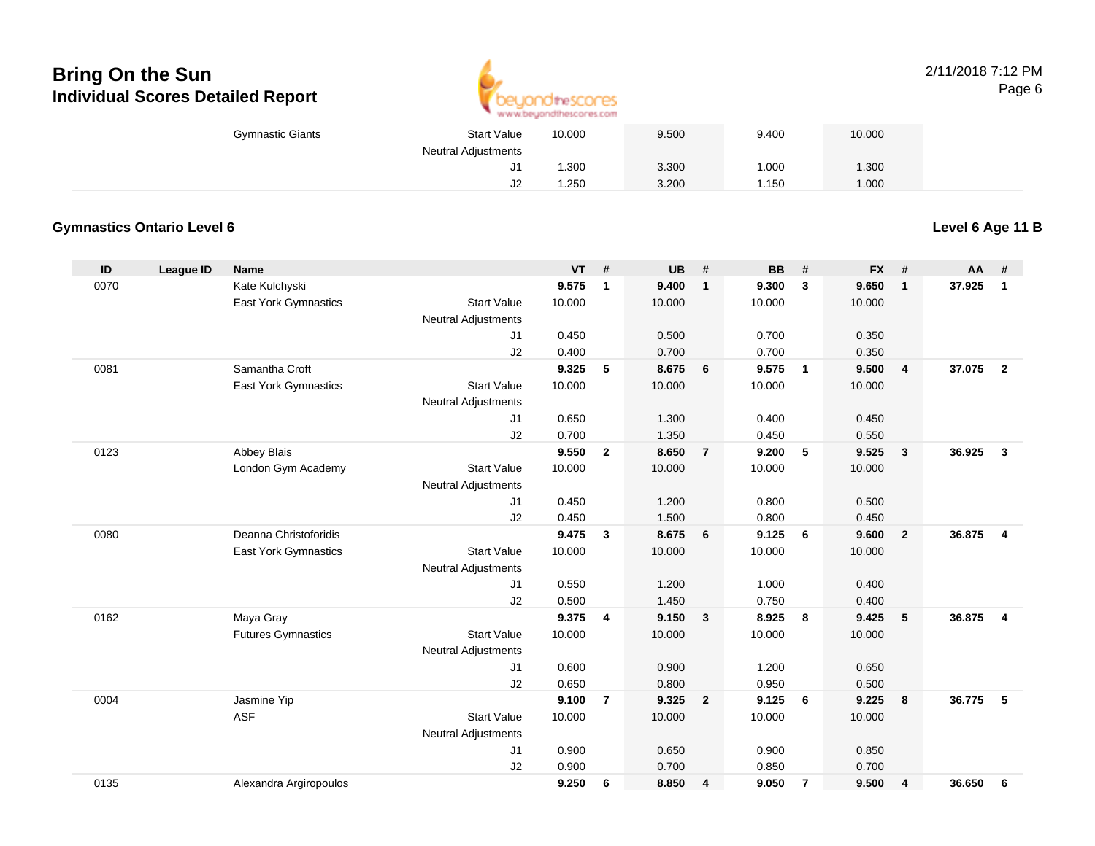

#### 2/11/2018 7:12 PMPage 6

| <b>Gymnastic Giants</b> | <b>Start Value</b> | 10.000 | 9.500 | 9.400 | 10.000 |  |
|-------------------------|--------------------|--------|-------|-------|--------|--|
| Neutral Adjustments     |                    |        |       |       |        |  |
|                         | J1                 | 1.300  | 3.300 | .000  | .300   |  |
|                         | J2                 | 1.250  | 3.200 | .150  | 000.1  |  |

### **Gymnastics Ontario Level 6**

**Level 6 Age 11 B**

| ID   | <b>League ID</b> | <b>Name</b>                 |                            | <b>VT</b> | #              | <b>UB</b> | #              | <b>BB</b> | #              | <b>FX</b> | #                       | AA     | #                       |
|------|------------------|-----------------------------|----------------------------|-----------|----------------|-----------|----------------|-----------|----------------|-----------|-------------------------|--------|-------------------------|
| 0070 |                  | Kate Kulchyski              |                            | 9.575     | 1              | 9.400     | $\mathbf{1}$   | 9.300     | $\mathbf{3}$   | 9.650     | $\mathbf{1}$            | 37.925 | $\mathbf{1}$            |
|      |                  | East York Gymnastics        | <b>Start Value</b>         | 10.000    |                | 10.000    |                | 10.000    |                | 10.000    |                         |        |                         |
|      |                  |                             | Neutral Adjustments        |           |                |           |                |           |                |           |                         |        |                         |
|      |                  |                             | J1                         | 0.450     |                | 0.500     |                | 0.700     |                | 0.350     |                         |        |                         |
|      |                  |                             | J2                         | 0.400     |                | 0.700     |                | 0.700     |                | 0.350     |                         |        |                         |
| 0081 |                  | Samantha Croft              |                            | 9.325     | 5              | 8.675     | 6              | 9.575     | $\overline{1}$ | 9.500     | $\overline{4}$          | 37.075 | $\overline{2}$          |
|      |                  | <b>East York Gymnastics</b> | <b>Start Value</b>         | 10.000    |                | 10.000    |                | 10.000    |                | 10.000    |                         |        |                         |
|      |                  |                             | <b>Neutral Adjustments</b> |           |                |           |                |           |                |           |                         |        |                         |
|      |                  |                             | J1                         | 0.650     |                | 1.300     |                | 0.400     |                | 0.450     |                         |        |                         |
|      |                  |                             | J2                         | 0.700     |                | 1.350     |                | 0.450     |                | 0.550     |                         |        |                         |
| 0123 |                  | <b>Abbey Blais</b>          |                            | 9.550     | $\overline{2}$ | 8.650     | $\overline{7}$ | 9.200     | 5              | 9.525     | $\overline{\mathbf{3}}$ | 36.925 | $\mathbf{3}$            |
|      |                  | London Gym Academy          | <b>Start Value</b>         | 10.000    |                | 10.000    |                | 10.000    |                | 10.000    |                         |        |                         |
|      |                  |                             | Neutral Adjustments        |           |                |           |                |           |                |           |                         |        |                         |
|      |                  |                             | J1                         | 0.450     |                | 1.200     |                | 0.800     |                | 0.500     |                         |        |                         |
|      |                  |                             | J2                         | 0.450     |                | 1.500     |                | 0.800     |                | 0.450     |                         |        |                         |
| 0080 |                  | Deanna Christoforidis       |                            | 9.475     | 3              | 8.675     | 6              | 9.125     | 6              | 9.600     | $\overline{2}$          | 36.875 | $\overline{\mathbf{4}}$ |
|      |                  | <b>East York Gymnastics</b> | <b>Start Value</b>         | 10.000    |                | 10.000    |                | 10.000    |                | 10.000    |                         |        |                         |
|      |                  |                             | <b>Neutral Adjustments</b> |           |                |           |                |           |                |           |                         |        |                         |
|      |                  |                             | J1                         | 0.550     |                | 1.200     |                | 1.000     |                | 0.400     |                         |        |                         |
|      |                  |                             | J2                         | 0.500     |                | 1.450     |                | 0.750     |                | 0.400     |                         |        |                         |
| 0162 |                  | Maya Gray                   |                            | 9.375     | 4              | 9.150     | 3              | 8.925     | 8              | 9.425     | 5                       | 36.875 | $\overline{\mathbf{4}}$ |
|      |                  | <b>Futures Gymnastics</b>   | <b>Start Value</b>         | 10.000    |                | 10.000    |                | 10.000    |                | 10.000    |                         |        |                         |
|      |                  |                             | Neutral Adjustments        |           |                |           |                |           |                |           |                         |        |                         |
|      |                  |                             | J1                         | 0.600     |                | 0.900     |                | 1.200     |                | 0.650     |                         |        |                         |
|      |                  |                             | J2                         | 0.650     |                | 0.800     |                | 0.950     |                | 0.500     |                         |        |                         |
| 0004 |                  | Jasmine Yip                 |                            | 9.100     | $\overline{7}$ | 9.325     | $\overline{2}$ | 9.125     | 6              | 9.225     | 8                       | 36.775 | -5                      |
|      |                  | <b>ASF</b>                  | <b>Start Value</b>         | 10.000    |                | 10.000    |                | 10.000    |                | 10.000    |                         |        |                         |
|      |                  |                             | <b>Neutral Adjustments</b> |           |                |           |                |           |                |           |                         |        |                         |
|      |                  |                             | J1                         | 0.900     |                | 0.650     |                | 0.900     |                | 0.850     |                         |        |                         |
|      |                  |                             | J2                         | 0.900     |                | 0.700     |                | 0.850     |                | 0.700     |                         |        |                         |
| 0135 |                  | Alexandra Argiropoulos      |                            | 9.250     | 6              | 8.850     | 4              | 9.050     | $\overline{7}$ | 9.500     | 4                       | 36.650 | 6                       |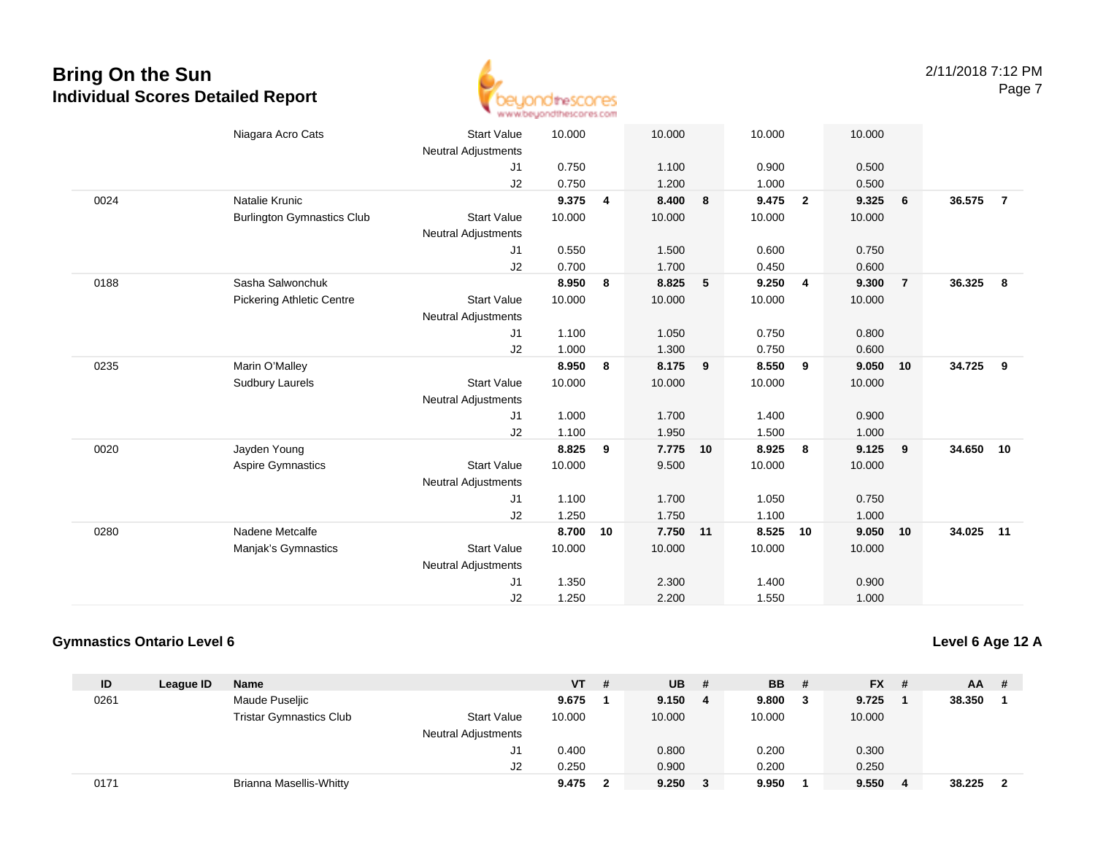

|      | Niagara Acro Cats                 | <b>Start Value</b><br><b>Neutral Adjustments</b> | 10.000 |    | 10.000 |    | 10.000 |                | 10.000 |                |           |                |
|------|-----------------------------------|--------------------------------------------------|--------|----|--------|----|--------|----------------|--------|----------------|-----------|----------------|
|      |                                   | J1                                               | 0.750  |    | 1.100  |    | 0.900  |                | 0.500  |                |           |                |
|      |                                   | J2                                               | 0.750  |    | 1.200  |    | 1.000  |                | 0.500  |                |           |                |
| 0024 | Natalie Krunic                    |                                                  | 9.375  | 4  | 8.400  | 8  | 9.475  | $\overline{2}$ | 9.325  | 6              | 36.575    | $\overline{7}$ |
|      | <b>Burlington Gymnastics Club</b> | <b>Start Value</b>                               | 10.000 |    | 10.000 |    | 10.000 |                | 10.000 |                |           |                |
|      |                                   | <b>Neutral Adjustments</b>                       |        |    |        |    |        |                |        |                |           |                |
|      |                                   | J <sub>1</sub>                                   | 0.550  |    | 1.500  |    | 0.600  |                | 0.750  |                |           |                |
|      |                                   | J2                                               | 0.700  |    | 1.700  |    | 0.450  |                | 0.600  |                |           |                |
| 0188 | Sasha Salwonchuk                  |                                                  | 8.950  | 8  | 8.825  | 5  | 9.250  | $\overline{4}$ | 9.300  | $\overline{7}$ | 36.325    | 8              |
|      | <b>Pickering Athletic Centre</b>  | <b>Start Value</b>                               | 10.000 |    | 10.000 |    | 10.000 |                | 10.000 |                |           |                |
|      |                                   | <b>Neutral Adjustments</b>                       |        |    |        |    |        |                |        |                |           |                |
|      |                                   | J1                                               | 1.100  |    | 1.050  |    | 0.750  |                | 0.800  |                |           |                |
|      |                                   | J2                                               | 1.000  |    | 1.300  |    | 0.750  |                | 0.600  |                |           |                |
| 0235 | Marin O'Malley                    |                                                  | 8.950  | 8  | 8.175  | 9  | 8.550  | 9              | 9.050  | 10             | 34.725    | 9              |
|      | <b>Sudbury Laurels</b>            | <b>Start Value</b>                               | 10.000 |    | 10.000 |    | 10.000 |                | 10.000 |                |           |                |
|      |                                   | <b>Neutral Adjustments</b>                       |        |    |        |    |        |                |        |                |           |                |
|      |                                   | J1                                               | 1.000  |    | 1.700  |    | 1.400  |                | 0.900  |                |           |                |
|      |                                   | J <sub>2</sub>                                   | 1.100  |    | 1.950  |    | 1.500  |                | 1.000  |                |           |                |
| 0020 | Jayden Young                      |                                                  | 8.825  | 9  | 7.775  | 10 | 8.925  | 8              | 9.125  | 9              | 34.650 10 |                |
|      | <b>Aspire Gymnastics</b>          | <b>Start Value</b>                               | 10.000 |    | 9.500  |    | 10.000 |                | 10.000 |                |           |                |
|      |                                   | <b>Neutral Adjustments</b>                       |        |    |        |    |        |                |        |                |           |                |
|      |                                   | J1                                               | 1.100  |    | 1.700  |    | 1.050  |                | 0.750  |                |           |                |
|      |                                   | J2                                               | 1.250  |    | 1.750  |    | 1.100  |                | 1.000  |                |           |                |
| 0280 | Nadene Metcalfe                   |                                                  | 8.700  | 10 | 7.750  | 11 | 8.525  | 10             | 9.050  | 10             | 34.025 11 |                |
|      | Manjak's Gymnastics               | <b>Start Value</b>                               | 10.000 |    | 10.000 |    | 10.000 |                | 10.000 |                |           |                |
|      |                                   | <b>Neutral Adjustments</b>                       |        |    |        |    |        |                |        |                |           |                |
|      |                                   | J <sub>1</sub>                                   | 1.350  |    | 2.300  |    | 1.400  |                | 0.900  |                |           |                |
|      |                                   | J2                                               | 1.250  |    | 2.200  |    | 1.550  |                | 1.000  |                |           |                |

#### **Gymnastics Ontario Level 6**

**Level 6 Age 12 A**

| ID   | League ID | <b>Name</b>                    |                            | VT .   | # | UB.    | -# | <b>BB</b> | $FX$ #  | <b>AA</b> | -# |
|------|-----------|--------------------------------|----------------------------|--------|---|--------|----|-----------|---------|-----------|----|
| 0261 |           | Maude Puseljic                 |                            | 9.675  |   | 9.150  | 4  | 9.800     | 9.725   | 38.350    |    |
|      |           | <b>Tristar Gymnastics Club</b> | <b>Start Value</b>         | 10.000 |   | 10.000 |    | 10.000    | 10.000  |           |    |
|      |           |                                | <b>Neutral Adjustments</b> |        |   |        |    |           |         |           |    |
|      |           |                                | J1                         | 0.400  |   | 0.800  |    | 0.200     | 0.300   |           |    |
|      |           |                                | J2                         | 0.250  |   | 0.900  |    | 0.200     | 0.250   |           |    |
| 0171 |           | Brianna Masellis-Whitty        |                            | 9.475  |   | 9.250  |    | 9.950     | 9.550 4 | 38.225    |    |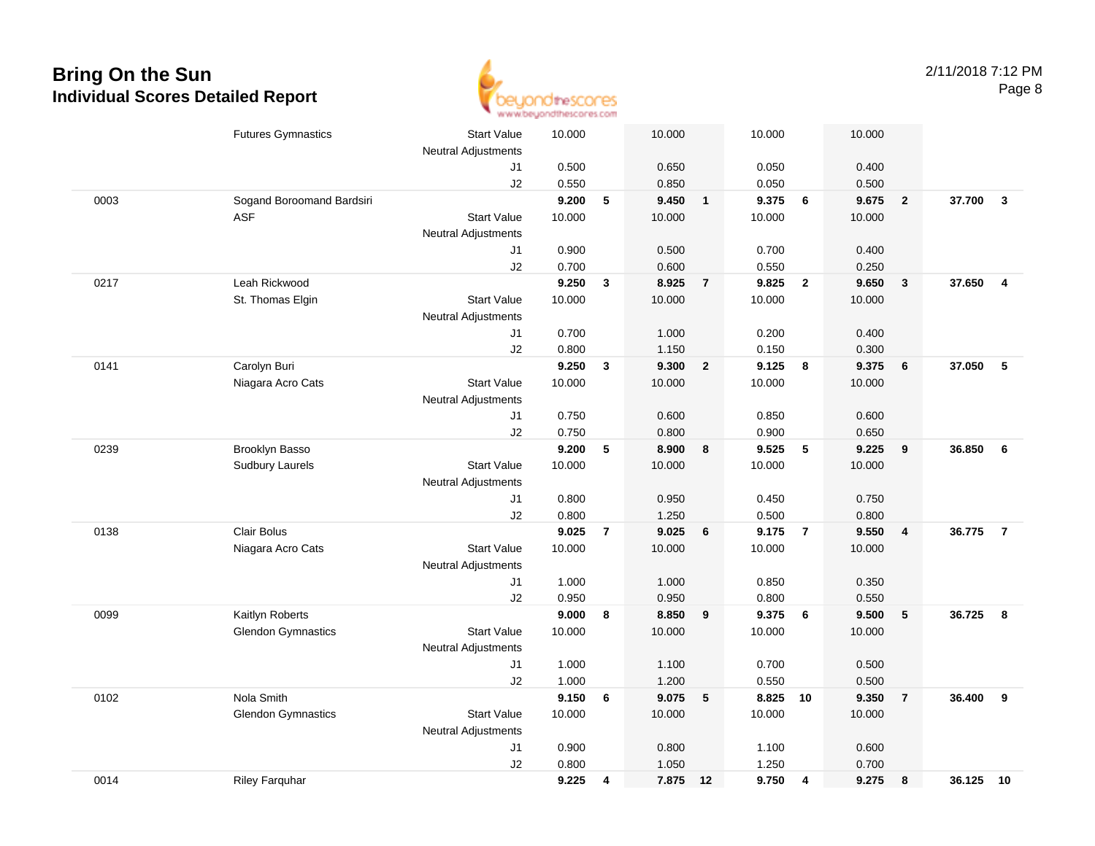

|      | <b>Futures Gymnastics</b> | <b>Start Value</b>         | 10.000 |                | 10.000 |                | 10.000 |                | 10.000 |                         |           |                         |
|------|---------------------------|----------------------------|--------|----------------|--------|----------------|--------|----------------|--------|-------------------------|-----------|-------------------------|
|      |                           | <b>Neutral Adjustments</b> |        |                |        |                |        |                |        |                         |           |                         |
|      |                           | J1                         | 0.500  |                | 0.650  |                | 0.050  |                | 0.400  |                         |           |                         |
|      |                           | J2                         | 0.550  |                | 0.850  |                | 0.050  |                | 0.500  |                         |           |                         |
| 0003 | Sogand Boroomand Bardsiri |                            | 9.200  | 5              | 9.450  | $\overline{1}$ | 9.375  | 6              | 9.675  | $\overline{\mathbf{2}}$ | 37.700    | $\overline{\mathbf{3}}$ |
|      | <b>ASF</b>                | <b>Start Value</b>         | 10.000 |                | 10.000 |                | 10.000 |                | 10.000 |                         |           |                         |
|      |                           | Neutral Adjustments        |        |                |        |                |        |                |        |                         |           |                         |
|      |                           | J1                         | 0.900  |                | 0.500  |                | 0.700  |                | 0.400  |                         |           |                         |
|      |                           | J2                         | 0.700  |                | 0.600  |                | 0.550  |                | 0.250  |                         |           |                         |
| 0217 | Leah Rickwood             |                            | 9.250  | 3              | 8.925  | $\overline{7}$ | 9.825  | $\overline{2}$ | 9.650  | $\overline{\mathbf{3}}$ | 37.650    | $\overline{4}$          |
|      | St. Thomas Elgin          | <b>Start Value</b>         | 10.000 |                | 10.000 |                | 10.000 |                | 10.000 |                         |           |                         |
|      |                           | <b>Neutral Adjustments</b> |        |                |        |                |        |                |        |                         |           |                         |
|      |                           | J1                         | 0.700  |                | 1.000  |                | 0.200  |                | 0.400  |                         |           |                         |
|      |                           | J2                         | 0.800  |                | 1.150  |                | 0.150  |                | 0.300  |                         |           |                         |
| 0141 | Carolyn Buri              |                            | 9.250  | $\mathbf{3}$   | 9.300  | $\overline{2}$ | 9.125  | 8              | 9.375  | 6                       | 37.050    | 5                       |
|      | Niagara Acro Cats         | <b>Start Value</b>         | 10.000 |                | 10.000 |                | 10.000 |                | 10.000 |                         |           |                         |
|      |                           | <b>Neutral Adjustments</b> |        |                |        |                |        |                |        |                         |           |                         |
|      |                           | J1                         | 0.750  |                | 0.600  |                | 0.850  |                | 0.600  |                         |           |                         |
|      |                           | J2                         | 0.750  |                | 0.800  |                | 0.900  |                | 0.650  |                         |           |                         |
| 0239 | Brooklyn Basso            |                            | 9.200  | 5              | 8.900  | 8              | 9.525  | 5              | 9.225  | 9                       | 36.850    | 6                       |
|      | <b>Sudbury Laurels</b>    | <b>Start Value</b>         | 10.000 |                | 10.000 |                | 10.000 |                | 10.000 |                         |           |                         |
|      |                           | <b>Neutral Adjustments</b> |        |                |        |                |        |                |        |                         |           |                         |
|      |                           | J1                         | 0.800  |                | 0.950  |                | 0.450  |                | 0.750  |                         |           |                         |
|      |                           | J2                         | 0.800  |                | 1.250  |                | 0.500  |                | 0.800  |                         |           |                         |
| 0138 | Clair Bolus               |                            | 9.025  | $\overline{7}$ | 9.025  | 6              | 9.175  | $\overline{7}$ | 9.550  | $\overline{4}$          | 36.775    | $\overline{7}$          |
|      | Niagara Acro Cats         | <b>Start Value</b>         | 10.000 |                | 10.000 |                | 10.000 |                | 10.000 |                         |           |                         |
|      |                           | <b>Neutral Adjustments</b> |        |                |        |                |        |                |        |                         |           |                         |
|      |                           | J1                         | 1.000  |                | 1.000  |                | 0.850  |                | 0.350  |                         |           |                         |
|      |                           | J2                         | 0.950  |                | 0.950  |                | 0.800  |                | 0.550  |                         |           |                         |
| 0099 | Kaitlyn Roberts           |                            | 9.000  | 8              | 8.850  | 9              | 9.375  | 6              | 9.500  | 5                       | 36.725    | 8                       |
|      | <b>Glendon Gymnastics</b> | <b>Start Value</b>         | 10.000 |                | 10.000 |                | 10.000 |                | 10.000 |                         |           |                         |
|      |                           | Neutral Adjustments        |        |                |        |                |        |                |        |                         |           |                         |
|      |                           | J1                         | 1.000  |                | 1.100  |                | 0.700  |                | 0.500  |                         |           |                         |
|      |                           | J2                         | 1.000  |                | 1.200  |                | 0.550  |                | 0.500  |                         |           |                         |
| 0102 | Nola Smith                |                            | 9.150  | 6              | 9.075  | 5              | 8.825  | 10             | 9.350  | $\overline{7}$          | 36.400    | 9                       |
|      | <b>Glendon Gymnastics</b> | <b>Start Value</b>         | 10.000 |                | 10.000 |                | 10.000 |                | 10.000 |                         |           |                         |
|      |                           | Neutral Adjustments        |        |                |        |                |        |                |        |                         |           |                         |
|      |                           | J1                         | 0.900  |                | 0.800  |                | 1.100  |                | 0.600  |                         |           |                         |
|      |                           | J2                         | 0.800  |                | 1.050  |                | 1.250  |                | 0.700  |                         |           |                         |
| 0014 | <b>Riley Farquhar</b>     |                            | 9.225  | 4              | 7.875  | 12             | 9.750  | 4              | 9.275  | 8                       | 36.125 10 |                         |
|      |                           |                            |        |                |        |                |        |                |        |                         |           |                         |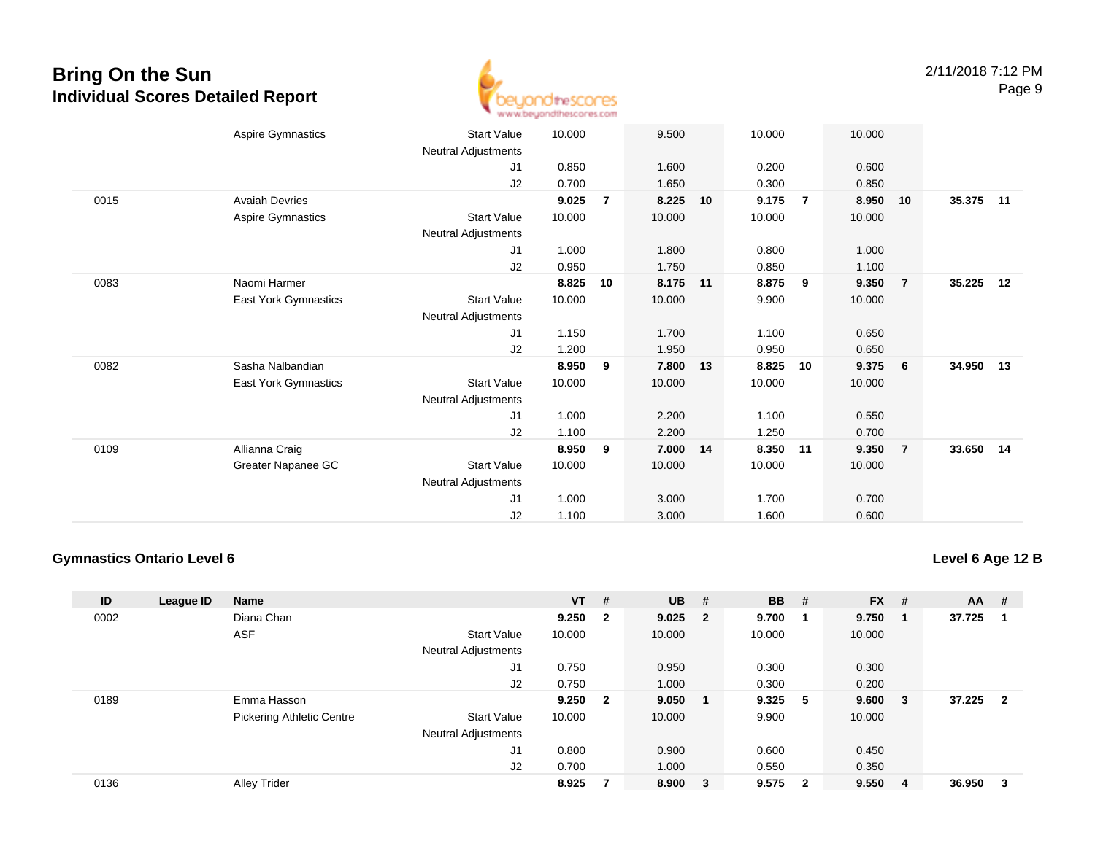

|      | Aspire Gymnastics     | <b>Start Value</b>  | 10.000 |                | 9.500  |    | 10.000 |                | 10.000 |                 |           |    |
|------|-----------------------|---------------------|--------|----------------|--------|----|--------|----------------|--------|-----------------|-----------|----|
|      |                       | Neutral Adjustments |        |                |        |    |        |                |        |                 |           |    |
|      |                       | J1                  | 0.850  |                | 1.600  |    | 0.200  |                | 0.600  |                 |           |    |
|      |                       | J2                  | 0.700  |                | 1.650  |    | 0.300  |                | 0.850  |                 |           |    |
| 0015 | <b>Avaiah Devries</b> |                     | 9.025  | $\overline{7}$ | 8.225  | 10 | 9.175  | $\overline{7}$ | 8.950  | 10              | 35.375    | 11 |
|      | Aspire Gymnastics     | <b>Start Value</b>  | 10.000 |                | 10.000 |    | 10.000 |                | 10.000 |                 |           |    |
|      |                       | Neutral Adjustments |        |                |        |    |        |                |        |                 |           |    |
|      |                       | J1                  | 1.000  |                | 1.800  |    | 0.800  |                | 1.000  |                 |           |    |
|      |                       | J2                  | 0.950  |                | 1.750  |    | 0.850  |                | 1.100  |                 |           |    |
| 0083 | Naomi Harmer          |                     | 8.825  | 10             | 8.175  | 11 | 8.875  | 9              | 9.350  | $\overline{7}$  | 35.225    | 12 |
|      | East York Gymnastics  | <b>Start Value</b>  | 10.000 |                | 10.000 |    | 9.900  |                | 10.000 |                 |           |    |
|      |                       | Neutral Adjustments |        |                |        |    |        |                |        |                 |           |    |
|      |                       | J1                  | 1.150  |                | 1.700  |    | 1.100  |                | 0.650  |                 |           |    |
|      |                       | J2                  | 1.200  |                | 1.950  |    | 0.950  |                | 0.650  |                 |           |    |
| 0082 | Sasha Nalbandian      |                     | 8.950  | 9              | 7.800  | 13 | 8.825  | 10             | 9.375  | $6\overline{6}$ | 34.950 13 |    |
|      | East York Gymnastics  | <b>Start Value</b>  | 10.000 |                | 10.000 |    | 10.000 |                | 10.000 |                 |           |    |
|      |                       | Neutral Adjustments |        |                |        |    |        |                |        |                 |           |    |
|      |                       | J <sub>1</sub>      | 1.000  |                | 2.200  |    | 1.100  |                | 0.550  |                 |           |    |
|      |                       | J2                  | 1.100  |                | 2.200  |    | 1.250  |                | 0.700  |                 |           |    |
| 0109 | Allianna Craig        |                     | 8.950  | 9              | 7.000  | 14 | 8.350  | 11             | 9.350  | $\overline{7}$  | 33.650 14 |    |
|      | Greater Napanee GC    | <b>Start Value</b>  | 10.000 |                | 10.000 |    | 10.000 |                | 10.000 |                 |           |    |
|      |                       | Neutral Adjustments |        |                |        |    |        |                |        |                 |           |    |
|      |                       | J1                  | 1.000  |                | 3.000  |    | 1.700  |                | 0.700  |                 |           |    |
|      |                       | J2                  | 1.100  |                | 3.000  |    | 1.600  |                | 0.600  |                 |           |    |

#### **Gymnastics Ontario Level 6**

**Level 6 Age 12 B**

| ID   | League ID | <b>Name</b>                      |                            | $VT$ # |                | $UB$ #    |                         | <b>BB</b> | #                        | <b>FX</b> | #   | AA     | #                       |
|------|-----------|----------------------------------|----------------------------|--------|----------------|-----------|-------------------------|-----------|--------------------------|-----------|-----|--------|-------------------------|
| 0002 |           | Diana Chan                       |                            | 9.250  | $\overline{2}$ | $9.025$ 2 |                         | 9.700     | $\overline{\phantom{0}}$ | 9.750     | - 1 | 37.725 | -1                      |
|      |           | <b>ASF</b>                       | <b>Start Value</b>         | 10.000 |                | 10.000    |                         | 10.000    |                          | 10.000    |     |        |                         |
|      |           |                                  | <b>Neutral Adjustments</b> |        |                |           |                         |           |                          |           |     |        |                         |
|      |           |                                  | J1                         | 0.750  |                | 0.950     |                         | 0.300     |                          | 0.300     |     |        |                         |
|      |           |                                  | J2                         | 0.750  |                | 1.000     |                         | 0.300     |                          | 0.200     |     |        |                         |
| 0189 |           | Emma Hasson                      |                            | 9.250  | $\mathbf{2}$   | 9.050     |                         | 9.325     | -5                       | 9.600     | - 3 | 37.225 | $\overline{\mathbf{2}}$ |
|      |           | <b>Pickering Athletic Centre</b> | <b>Start Value</b>         | 10.000 |                | 10.000    |                         | 9.900     |                          | 10.000    |     |        |                         |
|      |           |                                  | <b>Neutral Adjustments</b> |        |                |           |                         |           |                          |           |     |        |                         |
|      |           |                                  | J1                         | 0.800  |                | 0.900     |                         | 0.600     |                          | 0.450     |     |        |                         |
|      |           |                                  | J2                         | 0.700  |                | 1.000     |                         | 0.550     |                          | 0.350     |     |        |                         |
| 0136 |           | <b>Alley Trider</b>              |                            | 8.925  |                | 8.900     | $\overline{\mathbf{3}}$ | 9.575     | $\overline{\mathbf{2}}$  | 9.550     | -4  | 36.950 | -3                      |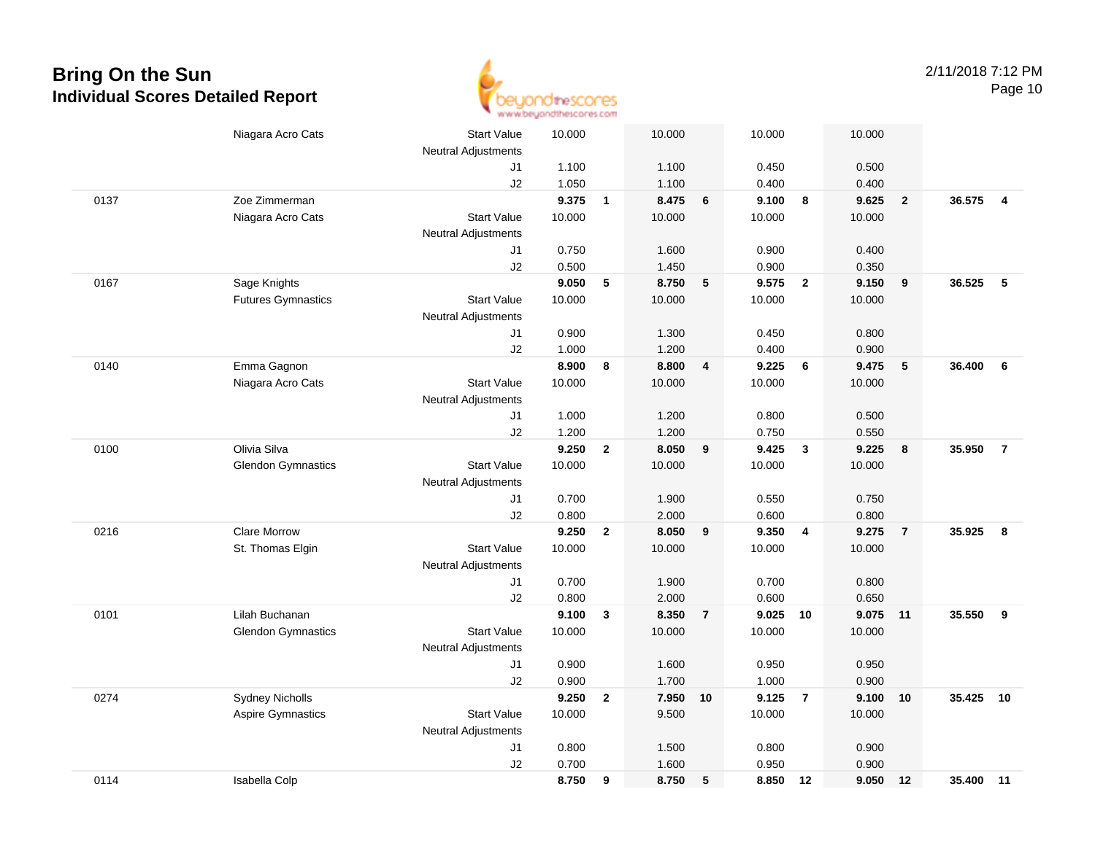

|      | Niagara Acro Cats         | <b>Start Value</b><br><b>Neutral Adjustments</b> | 10.000 |                | 10.000 |                | 10.000   |                         | 10.000   |                         |           |                |
|------|---------------------------|--------------------------------------------------|--------|----------------|--------|----------------|----------|-------------------------|----------|-------------------------|-----------|----------------|
|      |                           | J1                                               | 1.100  |                | 1.100  |                | 0.450    |                         | 0.500    |                         |           |                |
|      |                           | J2                                               | 1.050  |                | 1.100  |                | 0.400    |                         | 0.400    |                         |           |                |
| 0137 | Zoe Zimmerman             |                                                  | 9.375  | $\overline{1}$ | 8.475  | 6              | 9.100    | 8                       | 9.625    | $\overline{\mathbf{2}}$ | 36.575    | $\overline{4}$ |
|      | Niagara Acro Cats         | <b>Start Value</b>                               | 10.000 |                | 10.000 |                | 10.000   |                         | 10.000   |                         |           |                |
|      |                           | <b>Neutral Adjustments</b>                       |        |                |        |                |          |                         |          |                         |           |                |
|      |                           | J1                                               | 0.750  |                | 1.600  |                | 0.900    |                         | 0.400    |                         |           |                |
|      |                           | J2                                               | 0.500  |                | 1.450  |                | 0.900    |                         | 0.350    |                         |           |                |
| 0167 | Sage Knights              |                                                  | 9.050  | 5              | 8.750  | 5              | 9.575    | $\overline{2}$          | 9.150    | 9                       | 36.525    | -5             |
|      | <b>Futures Gymnastics</b> | <b>Start Value</b>                               | 10.000 |                | 10.000 |                | 10.000   |                         | 10.000   |                         |           |                |
|      |                           | Neutral Adjustments                              |        |                |        |                |          |                         |          |                         |           |                |
|      |                           | J1                                               | 0.900  |                | 1.300  |                | 0.450    |                         | 0.800    |                         |           |                |
|      |                           | J2                                               | 1.000  |                | 1.200  |                | 0.400    |                         | 0.900    |                         |           |                |
| 0140 | Emma Gagnon               |                                                  | 8.900  | 8              | 8.800  | 4              | 9.225    | 6                       | 9.475    | 5                       | 36.400    | 6              |
|      | Niagara Acro Cats         | <b>Start Value</b>                               | 10.000 |                | 10.000 |                | 10.000   |                         | 10.000   |                         |           |                |
|      |                           | Neutral Adjustments                              |        |                |        |                |          |                         |          |                         |           |                |
|      |                           | J1                                               | 1.000  |                | 1.200  |                | 0.800    |                         | 0.500    |                         |           |                |
|      |                           | J2                                               | 1.200  |                | 1.200  |                | 0.750    |                         | 0.550    |                         |           |                |
| 0100 | Olivia Silva              |                                                  | 9.250  | $\mathbf{2}$   | 8.050  | 9              | 9.425    | $\overline{\mathbf{3}}$ | 9.225    | 8                       | 35.950    | $\overline{7}$ |
|      | <b>Glendon Gymnastics</b> | <b>Start Value</b>                               | 10.000 |                | 10.000 |                | 10.000   |                         | 10.000   |                         |           |                |
|      |                           | <b>Neutral Adjustments</b>                       |        |                |        |                |          |                         |          |                         |           |                |
|      |                           | J1                                               | 0.700  |                | 1.900  |                | 0.550    |                         | 0.750    |                         |           |                |
|      |                           | J2                                               | 0.800  |                | 2.000  |                | 0.600    |                         | 0.800    |                         |           |                |
| 0216 | <b>Clare Morrow</b>       |                                                  | 9.250  | $\overline{2}$ | 8.050  | 9              | 9.350    | $\overline{4}$          | 9.275    | $\overline{7}$          | 35.925    | 8              |
|      | St. Thomas Elgin          | <b>Start Value</b>                               | 10.000 |                | 10.000 |                | 10.000   |                         | 10.000   |                         |           |                |
|      |                           | Neutral Adjustments                              |        |                |        |                |          |                         |          |                         |           |                |
|      |                           | J1                                               | 0.700  |                | 1.900  |                | 0.700    |                         | 0.800    |                         |           |                |
|      |                           | J2                                               | 0.800  |                | 2.000  |                | 0.600    |                         | 0.650    |                         |           |                |
| 0101 | Lilah Buchanan            |                                                  | 9.100  | $\mathbf{3}$   | 8.350  | $\overline{7}$ | 9.025 10 |                         | 9.075 11 |                         | 35.550    | 9              |
|      | <b>Glendon Gymnastics</b> | <b>Start Value</b>                               | 10.000 |                | 10.000 |                | 10.000   |                         | 10.000   |                         |           |                |
|      |                           | Neutral Adjustments                              |        |                |        |                |          |                         |          |                         |           |                |
|      |                           | J1                                               | 0.900  |                | 1.600  |                | 0.950    |                         | 0.950    |                         |           |                |
|      |                           | J2                                               | 0.900  |                | 1.700  |                | 1.000    |                         | 0.900    |                         |           |                |
| 0274 | <b>Sydney Nicholls</b>    |                                                  | 9.250  | $\mathbf{2}$   | 7.950  | 10             | 9.125    | $\overline{7}$          | 9.100    | 10                      | 35.425    | 10             |
|      | Aspire Gymnastics         | <b>Start Value</b>                               | 10.000 |                | 9.500  |                | 10.000   |                         | 10.000   |                         |           |                |
|      |                           | <b>Neutral Adjustments</b>                       |        |                |        |                |          |                         |          |                         |           |                |
|      |                           | J1                                               | 0.800  |                | 1.500  |                | 0.800    |                         | 0.900    |                         |           |                |
|      |                           | J2                                               | 0.700  |                | 1.600  |                | 0.950    |                         | 0.900    |                         |           |                |
| 0114 | Isabella Colp             |                                                  | 8.750  | 9              | 8.750  | 5              | 8.850 12 |                         | 9.050    | 12                      | 35.400 11 |                |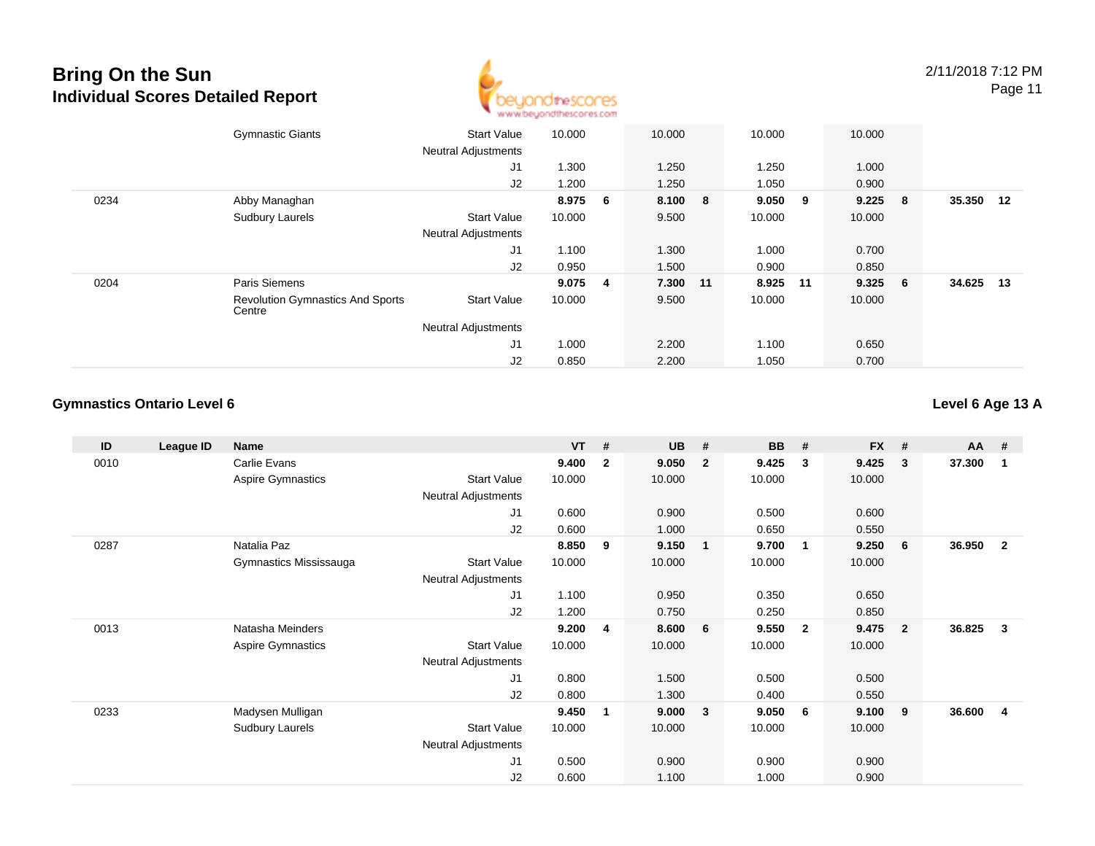

|      | <b>Gymnastic Giants</b>                           | <b>Start Value</b><br><b>Neutral Adjustments</b> | 10.000 |                 | 10.000   | 10.000  |    | 10.000 |     |        |     |
|------|---------------------------------------------------|--------------------------------------------------|--------|-----------------|----------|---------|----|--------|-----|--------|-----|
|      |                                                   | J <sub>1</sub>                                   | 1.300  |                 | 1.250    | 1.250   |    | 1.000  |     |        |     |
|      |                                                   | J2                                               | 1.200  |                 | 1.250    | 1.050   |    | 0.900  |     |        |     |
| 0234 | Abby Managhan                                     |                                                  | 8.975  | $6\overline{6}$ | 8.100 8  | 9.050 9 |    | 9.225  | - 8 | 35.350 | 12  |
|      | <b>Sudbury Laurels</b>                            | <b>Start Value</b>                               | 10.000 |                 | 9.500    | 10.000  |    | 10.000 |     |        |     |
|      |                                                   | <b>Neutral Adjustments</b>                       |        |                 |          |         |    |        |     |        |     |
|      |                                                   | J1                                               | 1.100  |                 | 1.300    | 1.000   |    | 0.700  |     |        |     |
|      |                                                   | J2                                               | 0.950  |                 | 1.500    | 0.900   |    | 0.850  |     |        |     |
| 0204 | Paris Siemens                                     |                                                  | 9.075  | 4               | 7.300 11 | 8.925   | 11 | 9.325  | - 6 | 34.625 | -13 |
|      | <b>Revolution Gymnastics And Sports</b><br>Centre | <b>Start Value</b>                               | 10.000 |                 | 9.500    | 10.000  |    | 10.000 |     |        |     |
|      |                                                   | <b>Neutral Adjustments</b>                       |        |                 |          |         |    |        |     |        |     |
|      |                                                   | J1                                               | 1.000  |                 | 2.200    | 1.100   |    | 0.650  |     |        |     |
|      |                                                   | J2                                               | 0.850  |                 | 2.200    | 1.050   |    | 0.700  |     |        |     |

#### **Gymnastics Ontario Level 6**

**ID League ID Name VT # UB # BB # FX # AA #** 0010 Carlie Evans **9.400 <sup>2</sup> 9.050 <sup>2</sup> 9.425 <sup>3</sup> 9.425 <sup>3</sup> 37.300 <sup>1</sup>** Aspire Gymnastics Start Valuee 10.000 10.000 10.000 10.000 Neutral Adjustments J1 0.600 0.900 0.500 0.600 J2 0.600 1.000 0.650 0.550 0287 Natalia Paz **8.850 <sup>9</sup> 9.150 <sup>1</sup> 9.700 <sup>1</sup> 9.250 <sup>6</sup> 36.950 <sup>2</sup>** Gymnastics Mississauga Start Value 10.000 10.000 10.000 10.000 Neutral Adjustments J1 1.100 0.950 0.350 0.650 J2 1.200 0.750 0.250 0.850 0013 Natasha Meinders **9.200 <sup>4</sup> 8.600 <sup>6</sup> 9.550 <sup>2</sup> 9.475 <sup>2</sup> 36.825 <sup>3</sup>** Aspire Gymnastics Start Valuee 10.000 10.000 10.000 10.000 Neutral Adjustments J1 0.800 1.500 0.500 0.500 J2 0.800 1.300 0.400 0.550 0233 Madysen Mulligan **9.450 <sup>1</sup> 9.000 <sup>3</sup> 9.050 <sup>6</sup> 9.100 <sup>9</sup> 36.600 <sup>4</sup>** Sudbury Laurels Start Valuee 10.000 10.000 10.000 10.000 Neutral Adjustments J1 0.500 0.900 0.900 0.900 J20.600 1.100 1.000 0.900

**Level 6 Age 13 A**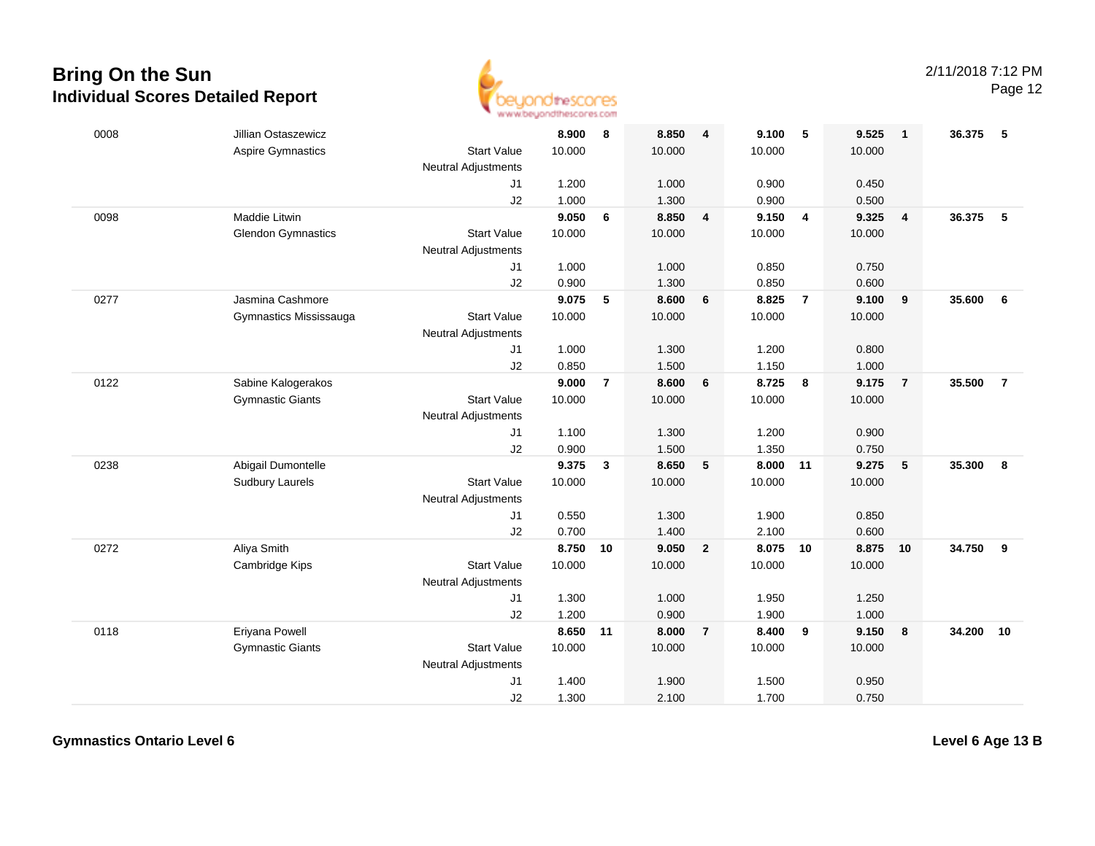

| 0008 | Jillian Ostaszewicz       |                            | 8.900  | 8              | 8.850  | $\overline{\mathbf{4}}$ | 9.100  | - 5            | 9.525  | $\mathbf{1}$            | 36.375 | -5             |
|------|---------------------------|----------------------------|--------|----------------|--------|-------------------------|--------|----------------|--------|-------------------------|--------|----------------|
|      | Aspire Gymnastics         | <b>Start Value</b>         | 10.000 |                | 10.000 |                         | 10.000 |                | 10.000 |                         |        |                |
|      |                           | Neutral Adjustments        |        |                |        |                         |        |                |        |                         |        |                |
|      |                           | J <sub>1</sub>             | 1.200  |                | 1.000  |                         | 0.900  |                | 0.450  |                         |        |                |
|      |                           | J2                         | 1.000  |                | 1.300  |                         | 0.900  |                | 0.500  |                         |        |                |
| 0098 | Maddie Litwin             |                            | 9.050  | 6              | 8.850  | 4                       | 9.150  | $\overline{4}$ | 9.325  | $\overline{\mathbf{4}}$ | 36.375 | 5              |
|      | <b>Glendon Gymnastics</b> | <b>Start Value</b>         | 10.000 |                | 10.000 |                         | 10.000 |                | 10.000 |                         |        |                |
|      |                           | <b>Neutral Adjustments</b> |        |                |        |                         |        |                |        |                         |        |                |
|      |                           | J1                         | 1.000  |                | 1.000  |                         | 0.850  |                | 0.750  |                         |        |                |
|      |                           | J2                         | 0.900  |                | 1.300  |                         | 0.850  |                | 0.600  |                         |        |                |
| 0277 | Jasmina Cashmore          |                            | 9.075  | 5              | 8.600  | $6\phantom{1}6$         | 8.825  | $\overline{7}$ | 9.100  | 9                       | 35.600 | 6              |
|      | Gymnastics Mississauga    | <b>Start Value</b>         | 10.000 |                | 10.000 |                         | 10.000 |                | 10.000 |                         |        |                |
|      |                           | <b>Neutral Adjustments</b> |        |                |        |                         |        |                |        |                         |        |                |
|      |                           | J1                         | 1.000  |                | 1.300  |                         | 1.200  |                | 0.800  |                         |        |                |
|      |                           | J2                         | 0.850  |                | 1.500  |                         | 1.150  |                | 1.000  |                         |        |                |
| 0122 | Sabine Kalogerakos        |                            | 9.000  | $\overline{7}$ | 8.600  | 6                       | 8.725  | 8              | 9.175  | $\overline{7}$          | 35.500 | $\overline{7}$ |
|      | <b>Gymnastic Giants</b>   | <b>Start Value</b>         | 10.000 |                | 10.000 |                         | 10.000 |                | 10.000 |                         |        |                |
|      |                           | <b>Neutral Adjustments</b> |        |                |        |                         |        |                |        |                         |        |                |
|      |                           | J1                         | 1.100  |                | 1.300  |                         | 1.200  |                | 0.900  |                         |        |                |
|      |                           | J2                         | 0.900  |                | 1.500  |                         | 1.350  |                | 0.750  |                         |        |                |
| 0238 | Abigail Dumontelle        |                            | 9.375  | 3              | 8.650  | 5                       | 8.000  | 11             | 9.275  | 5                       | 35.300 | 8              |
|      | <b>Sudbury Laurels</b>    | <b>Start Value</b>         | 10.000 |                | 10.000 |                         | 10.000 |                | 10.000 |                         |        |                |
|      |                           | Neutral Adjustments        |        |                |        |                         |        |                |        |                         |        |                |
|      |                           | J1                         | 0.550  |                | 1.300  |                         | 1.900  |                | 0.850  |                         |        |                |
|      |                           | J2                         | 0.700  |                | 1.400  |                         | 2.100  |                | 0.600  |                         |        |                |
| 0272 | Aliya Smith               |                            | 8.750  | 10             | 9.050  | $\overline{2}$          | 8.075  | 10             | 8.875  | 10                      | 34.750 | 9              |
|      | Cambridge Kips            | <b>Start Value</b>         | 10.000 |                | 10.000 |                         | 10.000 |                | 10.000 |                         |        |                |
|      |                           | <b>Neutral Adjustments</b> |        |                |        |                         |        |                |        |                         |        |                |
|      |                           | J1                         | 1.300  |                | 1.000  |                         | 1.950  |                | 1.250  |                         |        |                |
|      |                           | J2                         | 1.200  |                | 0.900  |                         | 1.900  |                | 1.000  |                         |        |                |
| 0118 | Eriyana Powell            |                            | 8.650  | 11             | 8.000  | $\overline{7}$          | 8.400  | 9              | 9.150  | 8                       | 34.200 | 10             |
|      | <b>Gymnastic Giants</b>   | <b>Start Value</b>         | 10.000 |                | 10.000 |                         | 10.000 |                | 10.000 |                         |        |                |
|      |                           | <b>Neutral Adjustments</b> |        |                |        |                         |        |                |        |                         |        |                |
|      |                           | J <sub>1</sub>             | 1.400  |                | 1.900  |                         | 1.500  |                | 0.950  |                         |        |                |
|      |                           | J2                         | 1.300  |                | 2.100  |                         | 1.700  |                | 0.750  |                         |        |                |

**Gymnastics Ontario Level 6**

**Level 6 Age 13 B**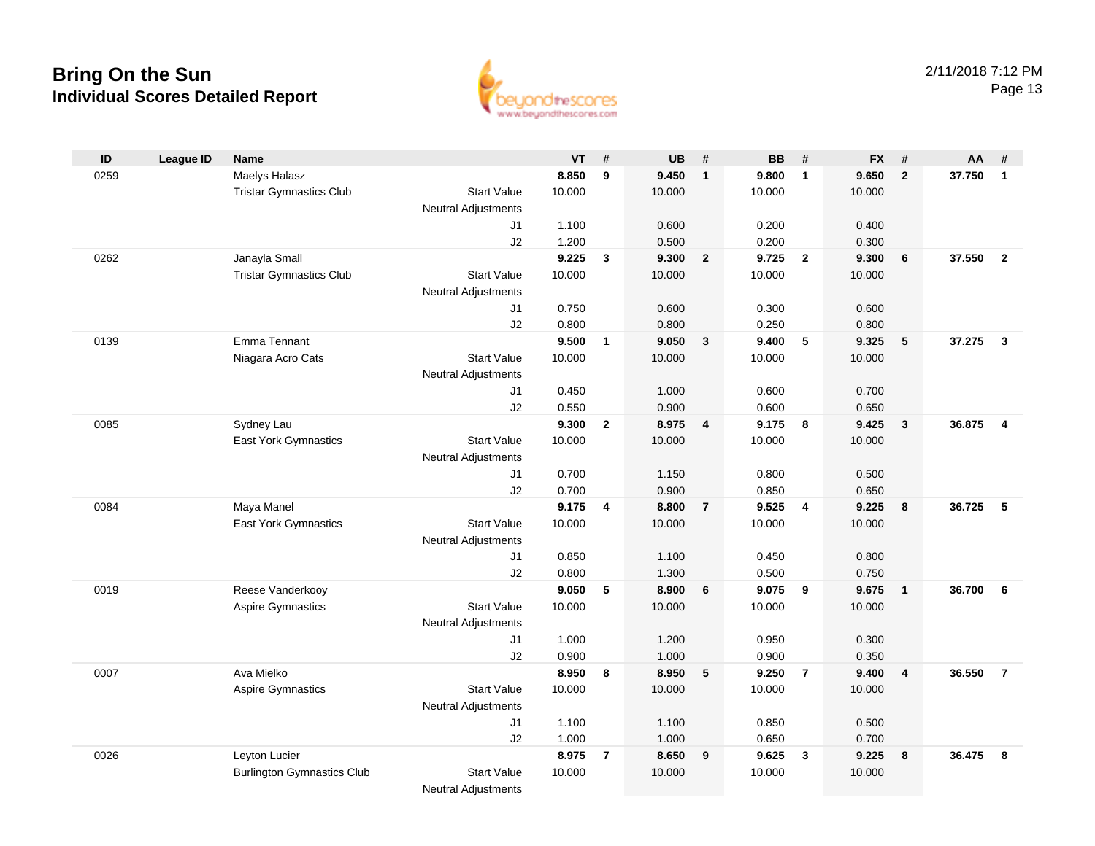

| ID   | <b>League ID</b> | <b>Name</b>                       |                            | <b>VT</b>      | #              | <b>UB</b>      | #              | <b>BB</b>      | #              | <b>FX</b>      | #               | AA     | #              |
|------|------------------|-----------------------------------|----------------------------|----------------|----------------|----------------|----------------|----------------|----------------|----------------|-----------------|--------|----------------|
| 0259 |                  | Maelys Halasz                     |                            | 8.850          | 9              | 9.450          | $\mathbf{1}$   | 9.800          | $\overline{1}$ | 9.650          | $\overline{2}$  | 37.750 | $\overline{1}$ |
|      |                  | <b>Tristar Gymnastics Club</b>    | <b>Start Value</b>         | 10.000         |                | 10.000         |                | 10.000         |                | 10.000         |                 |        |                |
|      |                  |                                   | Neutral Adjustments        |                |                |                |                |                |                |                |                 |        |                |
|      |                  |                                   | J1                         | 1.100          |                | 0.600          |                | 0.200          |                | 0.400          |                 |        |                |
|      |                  |                                   | J2                         | 1.200          |                | 0.500          |                | 0.200          |                | 0.300          |                 |        |                |
| 0262 |                  | Janayla Small                     |                            | 9.225          | 3              | 9.300          | $\overline{2}$ | 9.725          | $\overline{2}$ | 9.300          | 6               | 37.550 | $\overline{2}$ |
|      |                  | <b>Tristar Gymnastics Club</b>    | <b>Start Value</b>         | 10.000         |                | 10.000         |                | 10.000         |                | 10.000         |                 |        |                |
|      |                  |                                   | <b>Neutral Adjustments</b> |                |                |                |                |                |                |                |                 |        |                |
|      |                  |                                   | J1                         | 0.750          |                | 0.600          |                | 0.300          |                | 0.600          |                 |        |                |
|      |                  |                                   | J2                         | 0.800          |                | 0.800          |                | 0.250          |                | 0.800          |                 |        |                |
| 0139 |                  | Emma Tennant                      |                            | 9.500          | $\mathbf{1}$   | 9.050          | $\mathbf{3}$   | 9.400          | 5              | 9.325          | $5\phantom{.0}$ | 37.275 | $\mathbf{3}$   |
|      |                  | Niagara Acro Cats                 | <b>Start Value</b>         | 10.000         |                | 10.000         |                | 10.000         |                | 10.000         |                 |        |                |
|      |                  |                                   | <b>Neutral Adjustments</b> |                |                |                |                |                |                |                |                 |        |                |
|      |                  |                                   | J1                         | 0.450          |                | 1.000          |                | 0.600          |                | 0.700          |                 |        |                |
|      |                  |                                   | J2                         | 0.550<br>9.300 |                | 0.900<br>8.975 |                | 0.600<br>9.175 |                | 0.650<br>9.425 |                 | 36.875 | $\overline{4}$ |
| 0085 |                  | Sydney Lau                        | <b>Start Value</b>         | 10.000         | $\overline{2}$ | 10.000         | $\overline{4}$ | 10.000         | 8              |                | $\mathbf{3}$    |        |                |
|      |                  | East York Gymnastics              | <b>Neutral Adjustments</b> |                |                |                |                |                |                | 10.000         |                 |        |                |
|      |                  |                                   | J1                         | 0.700          |                | 1.150          |                | 0.800          |                | 0.500          |                 |        |                |
|      |                  |                                   | J2                         | 0.700          |                | 0.900          |                | 0.850          |                | 0.650          |                 |        |                |
| 0084 |                  | Maya Manel                        |                            | 9.175          | 4              | 8.800          | $\overline{7}$ | 9.525          | $\overline{4}$ | 9.225          | 8               | 36.725 | 5              |
|      |                  | <b>East York Gymnastics</b>       | <b>Start Value</b>         | 10.000         |                | 10.000         |                | 10.000         |                | 10.000         |                 |        |                |
|      |                  |                                   | <b>Neutral Adjustments</b> |                |                |                |                |                |                |                |                 |        |                |
|      |                  |                                   | J1                         | 0.850          |                | 1.100          |                | 0.450          |                | 0.800          |                 |        |                |
|      |                  |                                   | J2                         | 0.800          |                | 1.300          |                | 0.500          |                | 0.750          |                 |        |                |
| 0019 |                  | Reese Vanderkooy                  |                            | 9.050          | 5              | 8.900          | 6              | 9.075          | 9              | 9.675          | $\overline{1}$  | 36.700 | - 6            |
|      |                  | Aspire Gymnastics                 | <b>Start Value</b>         | 10.000         |                | 10.000         |                | 10.000         |                | 10.000         |                 |        |                |
|      |                  |                                   | <b>Neutral Adjustments</b> |                |                |                |                |                |                |                |                 |        |                |
|      |                  |                                   | J1                         | 1.000          |                | 1.200          |                | 0.950          |                | 0.300          |                 |        |                |
|      |                  |                                   | J2                         | 0.900          |                | 1.000          |                | 0.900          |                | 0.350          |                 |        |                |
| 0007 |                  | Ava Mielko                        |                            | 8.950          | 8              | 8.950          | 5              | 9.250          | $\overline{7}$ | 9.400          | $\overline{4}$  | 36.550 | $\overline{7}$ |
|      |                  | <b>Aspire Gymnastics</b>          | <b>Start Value</b>         | 10.000         |                | 10.000         |                | 10.000         |                | 10.000         |                 |        |                |
|      |                  |                                   | <b>Neutral Adjustments</b> |                |                |                |                |                |                |                |                 |        |                |
|      |                  |                                   | J1                         | 1.100          |                | 1.100          |                | 0.850          |                | 0.500          |                 |        |                |
|      |                  |                                   | J2                         | 1.000          |                | 1.000          |                | 0.650          |                | 0.700          |                 |        |                |
| 0026 |                  | Leyton Lucier                     |                            | 8.975          | $\overline{7}$ | 8.650          | 9              | 9.625          | $\mathbf{3}$   | 9.225          | 8               | 36.475 | -8             |
|      |                  | <b>Burlington Gymnastics Club</b> | <b>Start Value</b>         | 10.000         |                | 10.000         |                | 10.000         |                | 10.000         |                 |        |                |
|      |                  |                                   | <b>Neutral Adjustments</b> |                |                |                |                |                |                |                |                 |        |                |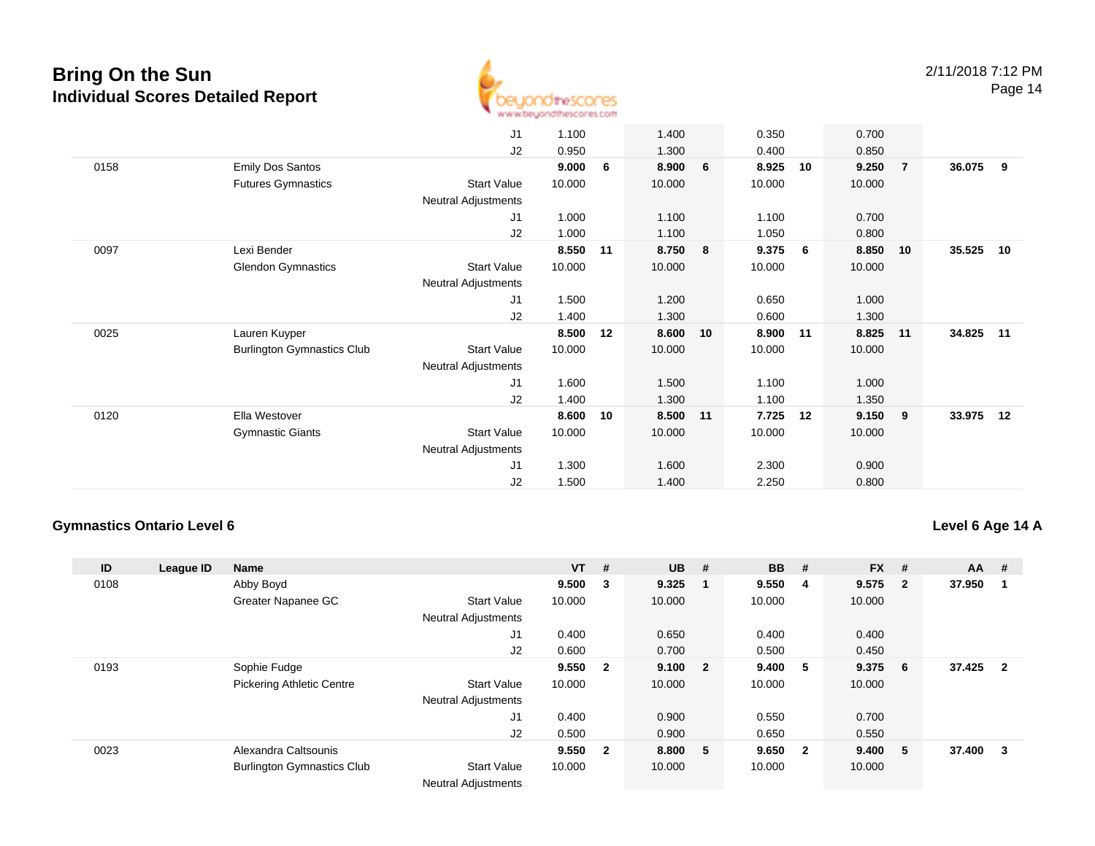

|      |                                   | J <sub>1</sub>      | 1.100  |    | 1.400    |    | 0.350  | 0.700       |                |        |    |
|------|-----------------------------------|---------------------|--------|----|----------|----|--------|-------------|----------------|--------|----|
|      |                                   | J2                  | 0.950  |    | 1.300    |    | 0.400  | 0.850       |                |        |    |
| 0158 | <b>Emily Dos Santos</b>           |                     | 9.000  | 6  | 8.900    | 6  | 8.925  | 9.250<br>10 | $\overline{7}$ | 36.075 | 9  |
|      | <b>Futures Gymnastics</b>         | <b>Start Value</b>  | 10.000 |    | 10.000   |    | 10.000 | 10.000      |                |        |    |
|      |                                   | Neutral Adjustments |        |    |          |    |        |             |                |        |    |
|      |                                   | J <sub>1</sub>      | 1.000  |    | 1.100    |    | 1.100  | 0.700       |                |        |    |
|      |                                   | J2                  | 1.000  |    | 1.100    |    | 1.050  | 0.800       |                |        |    |
| 0097 | Lexi Bender                       |                     | 8.550  | 11 | 8.750    | 8  | 9.375  | 8.850<br>6  | 10             | 35.525 | 10 |
|      | <b>Glendon Gymnastics</b>         | <b>Start Value</b>  | 10.000 |    | 10.000   |    | 10.000 | 10.000      |                |        |    |
|      |                                   | Neutral Adjustments |        |    |          |    |        |             |                |        |    |
|      |                                   | J <sub>1</sub>      | 1.500  |    | 1.200    |    | 0.650  | 1.000       |                |        |    |
|      |                                   | J2                  | 1.400  |    | 1.300    |    | 0.600  | 1.300       |                |        |    |
| 0025 | Lauren Kuyper                     |                     | 8.500  | 12 | 8.600    | 10 | 8.900  | 8.825<br>11 | 11             | 34.825 | 11 |
|      | <b>Burlington Gymnastics Club</b> | <b>Start Value</b>  | 10.000 |    | 10.000   |    | 10.000 | 10.000      |                |        |    |
|      |                                   | Neutral Adjustments |        |    |          |    |        |             |                |        |    |
|      |                                   | J <sub>1</sub>      | 1.600  |    | 1.500    |    | 1.100  | 1.000       |                |        |    |
|      |                                   | J2                  | 1.400  |    | 1.300    |    | 1.100  | 1.350       |                |        |    |
| 0120 | Ella Westover                     |                     | 8.600  | 10 | 8.500 11 |    | 7.725  | 9.150<br>12 | -9             | 33.975 | 12 |
|      | <b>Gymnastic Giants</b>           | <b>Start Value</b>  | 10.000 |    | 10.000   |    | 10.000 | 10.000      |                |        |    |
|      |                                   | Neutral Adjustments |        |    |          |    |        |             |                |        |    |
|      |                                   | J <sub>1</sub>      | 1.300  |    | 1.600    |    | 2.300  | 0.900       |                |        |    |
|      |                                   | J <sub>2</sub>      | 1.500  |    | 1.400    |    | 2.250  | 0.800       |                |        |    |
|      |                                   |                     |        |    |          |    |        |             |                |        |    |

#### **Gymnastics Ontario Level 6**

#### **Level 6 Age 14 A**

| ID   | League ID | <b>Name</b>                       |                            | $VT$ # |                         | <b>UB</b> | #                       | <b>BB</b> | #   | <b>FX</b> | #            | <b>AA</b> | #              |
|------|-----------|-----------------------------------|----------------------------|--------|-------------------------|-----------|-------------------------|-----------|-----|-----------|--------------|-----------|----------------|
| 0108 |           | Abby Boyd                         |                            | 9.500  | 3                       | 9.325     |                         | 9.550     | -4  | 9.575     | $\mathbf{2}$ | 37.950    |                |
|      |           | Greater Napanee GC                | <b>Start Value</b>         | 10.000 |                         | 10.000    |                         | 10.000    |     | 10.000    |              |           |                |
|      |           |                                   | <b>Neutral Adjustments</b> |        |                         |           |                         |           |     |           |              |           |                |
|      |           |                                   | J1                         | 0.400  |                         | 0.650     |                         | 0.400     |     | 0.400     |              |           |                |
|      |           |                                   | J <sub>2</sub>             | 0.600  |                         | 0.700     |                         | 0.500     |     | 0.450     |              |           |                |
| 0193 |           | Sophie Fudge                      |                            | 9.550  | $\overline{\mathbf{2}}$ | 9.100     | $\overline{\mathbf{2}}$ | 9.400     | - 5 | 9.375     | -6           | 37.425    | $\overline{2}$ |
|      |           | <b>Pickering Athletic Centre</b>  | <b>Start Value</b>         | 10.000 |                         | 10.000    |                         | 10.000    |     | 10.000    |              |           |                |
|      |           |                                   | <b>Neutral Adjustments</b> |        |                         |           |                         |           |     |           |              |           |                |
|      |           |                                   | J1                         | 0.400  |                         | 0.900     |                         | 0.550     |     | 0.700     |              |           |                |
|      |           |                                   | J2                         | 0.500  |                         | 0.900     |                         | 0.650     |     | 0.550     |              |           |                |
| 0023 |           | Alexandra Caltsounis              |                            | 9.550  | $\overline{\mathbf{2}}$ | 8.800     | 5                       | 9.650 2   |     | 9.400     | -5           | 37.400    | 3              |
|      |           | <b>Burlington Gymnastics Club</b> | <b>Start Value</b>         | 10.000 |                         | 10.000    |                         | 10.000    |     | 10.000    |              |           |                |
|      |           |                                   | <b>Neutral Adjustments</b> |        |                         |           |                         |           |     |           |              |           |                |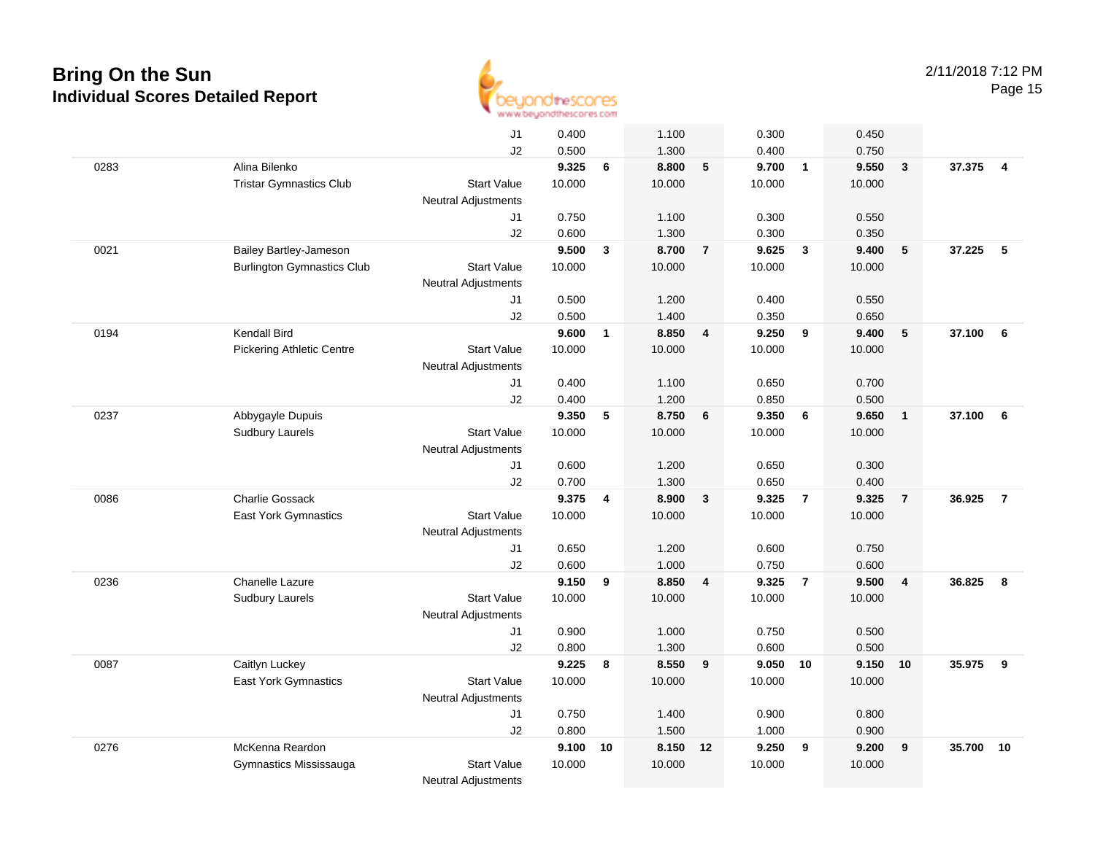

|      |                                   | J1                         | 0.400  |              | 1.100  |                 | 0.300  |                | 0.450  |                         |          |                |
|------|-----------------------------------|----------------------------|--------|--------------|--------|-----------------|--------|----------------|--------|-------------------------|----------|----------------|
|      |                                   | J2                         | 0.500  |              | 1.300  |                 | 0.400  |                | 0.750  |                         |          |                |
| 0283 | Alina Bilenko                     |                            | 9.325  | 6            | 8.800  | $5\phantom{.0}$ | 9.700  | $\overline{1}$ | 9.550  | $\overline{\mathbf{3}}$ | 37.375 4 |                |
|      | <b>Tristar Gymnastics Club</b>    | <b>Start Value</b>         | 10.000 |              | 10.000 |                 | 10.000 |                | 10.000 |                         |          |                |
|      |                                   | <b>Neutral Adjustments</b> |        |              |        |                 |        |                |        |                         |          |                |
|      |                                   | J1                         | 0.750  |              | 1.100  |                 | 0.300  |                | 0.550  |                         |          |                |
|      |                                   | J2                         | 0.600  |              | 1.300  |                 | 0.300  |                | 0.350  |                         |          |                |
| 0021 | Bailey Bartley-Jameson            |                            | 9.500  | $\mathbf{3}$ | 8.700  | $\overline{7}$  | 9.625  | $\mathbf{3}$   | 9.400  | 5                       | 37.225   | 5              |
|      | <b>Burlington Gymnastics Club</b> | <b>Start Value</b>         | 10.000 |              | 10.000 |                 | 10.000 |                | 10.000 |                         |          |                |
|      |                                   | <b>Neutral Adjustments</b> |        |              |        |                 |        |                |        |                         |          |                |
|      |                                   | J1                         | 0.500  |              | 1.200  |                 | 0.400  |                | 0.550  |                         |          |                |
|      |                                   | J2                         | 0.500  |              | 1.400  |                 | 0.350  |                | 0.650  |                         |          |                |
| 0194 | Kendall Bird                      |                            | 9.600  | $\mathbf{1}$ | 8.850  | 4               | 9.250  | 9              | 9.400  | 5                       | 37.100   | 6              |
|      | <b>Pickering Athletic Centre</b>  | <b>Start Value</b>         | 10.000 |              | 10.000 |                 | 10.000 |                | 10.000 |                         |          |                |
|      |                                   | <b>Neutral Adjustments</b> |        |              |        |                 |        |                |        |                         |          |                |
|      |                                   | J1                         | 0.400  |              | 1.100  |                 | 0.650  |                | 0.700  |                         |          |                |
|      |                                   | J2                         | 0.400  |              | 1.200  |                 | 0.850  |                | 0.500  |                         |          |                |
| 0237 | Abbygayle Dupuis                  |                            | 9.350  | 5            | 8.750  | 6               | 9.350  | 6              | 9.650  | $\overline{1}$          | 37.100   | - 6            |
|      | <b>Sudbury Laurels</b>            | <b>Start Value</b>         | 10.000 |              | 10.000 |                 | 10.000 |                | 10.000 |                         |          |                |
|      |                                   | <b>Neutral Adjustments</b> |        |              |        |                 |        |                |        |                         |          |                |
|      |                                   | J1                         | 0.600  |              | 1.200  |                 | 0.650  |                | 0.300  |                         |          |                |
|      |                                   | J2                         | 0.700  |              | 1.300  |                 | 0.650  |                | 0.400  |                         |          |                |
| 0086 | <b>Charlie Gossack</b>            |                            | 9.375  | 4            | 8.900  | $\mathbf{3}$    | 9.325  | $\overline{7}$ | 9.325  | $\overline{7}$          | 36.925   | $\overline{7}$ |
|      | East York Gymnastics              | <b>Start Value</b>         | 10.000 |              | 10.000 |                 | 10.000 |                | 10.000 |                         |          |                |
|      |                                   | <b>Neutral Adjustments</b> |        |              |        |                 |        |                |        |                         |          |                |
|      |                                   | J1                         | 0.650  |              | 1.200  |                 | 0.600  |                | 0.750  |                         |          |                |
|      |                                   | J2                         | 0.600  |              | 1.000  |                 | 0.750  |                | 0.600  |                         |          |                |
| 0236 | Chanelle Lazure                   |                            | 9.150  | 9            | 8.850  | $\overline{4}$  | 9.325  | $\overline{7}$ | 9.500  | $\overline{4}$          | 36.825   | 8              |
|      | <b>Sudbury Laurels</b>            | <b>Start Value</b>         | 10.000 |              | 10.000 |                 | 10.000 |                | 10.000 |                         |          |                |
|      |                                   | <b>Neutral Adjustments</b> |        |              |        |                 |        |                |        |                         |          |                |
|      |                                   | J1                         | 0.900  |              | 1.000  |                 | 0.750  |                | 0.500  |                         |          |                |
|      |                                   | J2                         | 0.800  |              | 1.300  |                 | 0.600  |                | 0.500  |                         |          |                |
| 0087 | Caitlyn Luckey                    |                            | 9.225  | 8            | 8.550  | 9               | 9.050  | 10             | 9.150  | 10                      | 35.975   | 9              |
|      | East York Gymnastics              | <b>Start Value</b>         | 10.000 |              | 10.000 |                 | 10.000 |                | 10.000 |                         |          |                |
|      |                                   | <b>Neutral Adjustments</b> |        |              |        |                 |        |                |        |                         |          |                |
|      |                                   | J1                         | 0.750  |              | 1.400  |                 | 0.900  |                | 0.800  |                         |          |                |
|      |                                   | J2                         | 0.800  |              | 1.500  |                 | 1.000  |                | 0.900  |                         |          |                |
| 0276 | McKenna Reardon                   |                            | 9.100  | 10           | 8.150  | 12              | 9.250  | 9              | 9.200  | 9                       | 35.700   | 10             |
|      | Gymnastics Mississauga            | <b>Start Value</b>         | 10.000 |              | 10.000 |                 | 10.000 |                | 10.000 |                         |          |                |
|      |                                   | Neutral Adjustments        |        |              |        |                 |        |                |        |                         |          |                |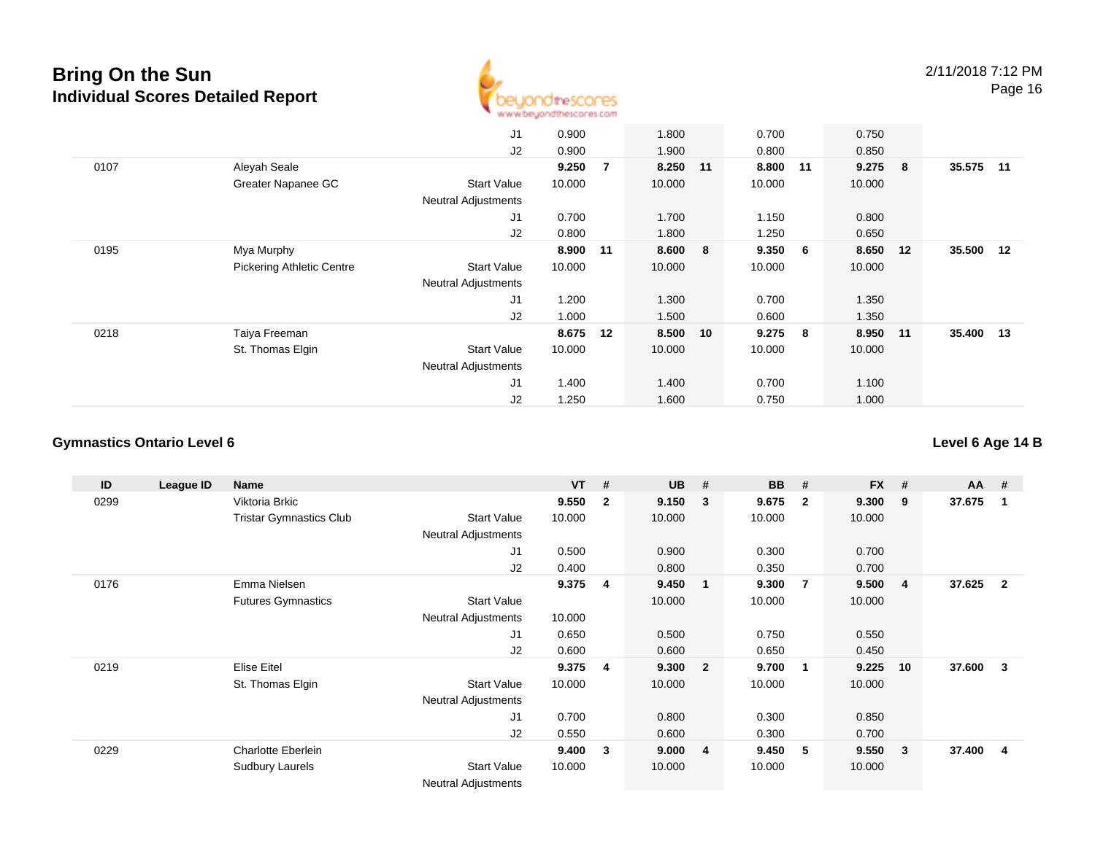

|      |                                  | J1                         | 0.900  |                | 1.800    | 0.700  |     | 0.750    |     |           |      |
|------|----------------------------------|----------------------------|--------|----------------|----------|--------|-----|----------|-----|-----------|------|
|      |                                  | J2                         | 0.900  |                | 1.900    | 0.800  |     | 0.850    |     |           |      |
| 0107 | Aleyah Seale                     |                            | 9.250  | $\overline{7}$ | 8.250 11 | 8.800  | 11  | 9.275    | - 8 | 35.575    | - 11 |
|      | Greater Napanee GC               | <b>Start Value</b>         | 10.000 |                | 10.000   | 10.000 |     | 10.000   |     |           |      |
|      |                                  | <b>Neutral Adjustments</b> |        |                |          |        |     |          |     |           |      |
|      |                                  | J1                         | 0.700  |                | 1.700    | 1.150  |     | 0.800    |     |           |      |
|      |                                  | J2                         | 0.800  |                | 1.800    | 1.250  |     | 0.650    |     |           |      |
| 0195 | Mya Murphy                       |                            | 8.900  | 11             | 8.600 8  | 9.350  | - 6 | 8.650 12 |     | 35.500    | 12   |
|      | <b>Pickering Athletic Centre</b> | <b>Start Value</b>         | 10.000 |                | 10.000   | 10.000 |     | 10.000   |     |           |      |
|      |                                  | <b>Neutral Adjustments</b> |        |                |          |        |     |          |     |           |      |
|      |                                  | J1                         | 1.200  |                | 1.300    | 0.700  |     | 1.350    |     |           |      |
|      |                                  | J2                         | 1.000  |                | 1.500    | 0.600  |     | 1.350    |     |           |      |
| 0218 | Taiya Freeman                    |                            | 8.675  | 12             | 8.500 10 | 9.275  | - 8 | 8.950 11 |     | 35.400 13 |      |
|      | St. Thomas Elgin                 | <b>Start Value</b>         | 10.000 |                | 10.000   | 10.000 |     | 10.000   |     |           |      |
|      |                                  | <b>Neutral Adjustments</b> |        |                |          |        |     |          |     |           |      |
|      |                                  | J <sub>1</sub>             | 1.400  |                | 1.400    | 0.700  |     | 1.100    |     |           |      |
|      |                                  | J2                         | 1.250  |                | 1.600    | 0.750  |     | 1.000    |     |           |      |

#### **Gymnastics Ontario Level 6**

**ID League ID Name VT # UB # BB # FX # AA #** 0299 Viktoria Brkic **9.550 <sup>2</sup> 9.150 <sup>3</sup> 9.675 <sup>2</sup> 9.300 <sup>9</sup> 37.675 <sup>1</sup>** Tristar Gymnastics Clubb 3tart Value 10.000 10.000 10.000 10.000 10.000 Neutral Adjustments J1 0.500 0.900 0.300 0.700 J2 0.400 0.800 0.350 0.700 0176 Emma Nielsen **9.375 <sup>4</sup> 9.450 <sup>1</sup> 9.300 <sup>7</sup> 9.500 <sup>4</sup> 37.625 <sup>2</sup>** Futures Gymnastics Start Valuee 10.000 10.000 10.000 10.000 Neutral Adjustments 10.0000.650 J1 0.650 0.500 0.750 0.550 J2 0.600 0.600 0.650 0.450 0219 Elise Eitel **9.375 <sup>4</sup> 9.300 <sup>2</sup> 9.700 <sup>1</sup> 9.225 <sup>10</sup> 37.600 <sup>3</sup>** St. Thomas Elgin Start Value 10.000 10.000 10.000 10.000 Neutral Adjustments J1 0.700 0.800 0.300 0.850 J2 0.550 0.600 0.300 0.700 0229 Charlotte Eberlein **9.400 <sup>3</sup> 9.000 <sup>4</sup> 9.450 <sup>5</sup> 9.550 <sup>3</sup> 37.400 <sup>4</sup>** Sudbury Laurels Start Valuee 10.000 10.000 10.000 10.000 Neutral Adjustments

**Level 6 Age 14 B**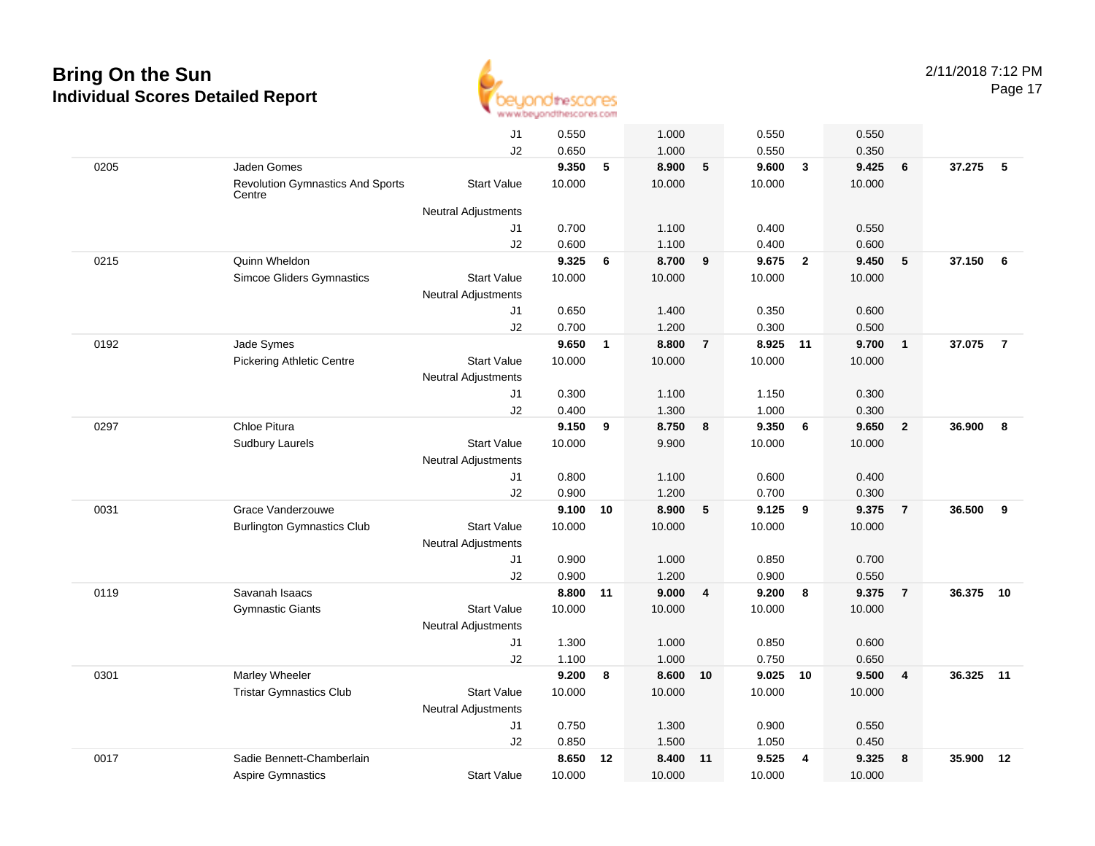

|      |                                                   | J1                                               | 0.550  |              | 1.000  |                | 0.550  |                         | 0.550  |                |        |                |
|------|---------------------------------------------------|--------------------------------------------------|--------|--------------|--------|----------------|--------|-------------------------|--------|----------------|--------|----------------|
|      |                                                   | J2                                               | 0.650  |              | 1.000  |                | 0.550  |                         | 0.350  |                |        |                |
| 0205 | Jaden Gomes                                       |                                                  | 9.350  | 5            | 8.900  | 5              | 9.600  | $\overline{\mathbf{3}}$ | 9.425  | 6              | 37.275 | 5              |
|      | <b>Revolution Gymnastics And Sports</b><br>Centre | <b>Start Value</b>                               | 10.000 |              | 10.000 |                | 10.000 |                         | 10.000 |                |        |                |
|      |                                                   | <b>Neutral Adjustments</b>                       |        |              |        |                |        |                         |        |                |        |                |
|      |                                                   | J1                                               | 0.700  |              | 1.100  |                | 0.400  |                         | 0.550  |                |        |                |
|      |                                                   | J2                                               | 0.600  |              | 1.100  |                | 0.400  |                         | 0.600  |                |        |                |
| 0215 | Quinn Wheldon                                     |                                                  | 9.325  | 6            | 8.700  | 9              | 9.675  | $\overline{2}$          | 9.450  | 5              | 37.150 | 6              |
|      | <b>Simcoe Gliders Gymnastics</b>                  | <b>Start Value</b><br><b>Neutral Adjustments</b> | 10.000 |              | 10.000 |                | 10.000 |                         | 10.000 |                |        |                |
|      |                                                   | J1                                               | 0.650  |              | 1.400  |                | 0.350  |                         | 0.600  |                |        |                |
|      |                                                   | J2                                               | 0.700  |              | 1.200  |                | 0.300  |                         | 0.500  |                |        |                |
| 0192 | Jade Symes                                        |                                                  | 9.650  | $\mathbf{1}$ | 8.800  | $\overline{7}$ | 8.925  | 11                      | 9.700  | $\mathbf{1}$   | 37.075 | $\overline{7}$ |
|      | <b>Pickering Athletic Centre</b>                  | <b>Start Value</b><br><b>Neutral Adjustments</b> | 10.000 |              | 10.000 |                | 10.000 |                         | 10.000 |                |        |                |
|      |                                                   | J1                                               | 0.300  |              | 1.100  |                | 1.150  |                         | 0.300  |                |        |                |
|      |                                                   | J2                                               | 0.400  |              | 1.300  |                | 1.000  |                         | 0.300  |                |        |                |
| 0297 | Chloe Pitura                                      |                                                  | 9.150  | 9            | 8.750  | 8              | 9.350  | 6                       | 9.650  | $\overline{2}$ | 36.900 | 8              |
|      | <b>Sudbury Laurels</b>                            | <b>Start Value</b>                               | 10.000 |              | 9.900  |                | 10.000 |                         | 10.000 |                |        |                |
|      |                                                   | <b>Neutral Adjustments</b>                       |        |              |        |                |        |                         |        |                |        |                |
|      |                                                   | J1                                               | 0.800  |              | 1.100  |                | 0.600  |                         | 0.400  |                |        |                |
|      |                                                   | J2                                               | 0.900  |              | 1.200  |                | 0.700  |                         | 0.300  |                |        |                |
| 0031 | Grace Vanderzouwe                                 |                                                  | 9.100  | 10           | 8.900  | 5              | 9.125  | 9                       | 9.375  | $\overline{7}$ | 36.500 | 9              |
|      | <b>Burlington Gymnastics Club</b>                 | <b>Start Value</b><br><b>Neutral Adjustments</b> | 10.000 |              | 10.000 |                | 10.000 |                         | 10.000 |                |        |                |
|      |                                                   | J1                                               | 0.900  |              | 1.000  |                | 0.850  |                         | 0.700  |                |        |                |
|      |                                                   | J2                                               | 0.900  |              | 1.200  |                | 0.900  |                         | 0.550  |                |        |                |
| 0119 | Savanah Isaacs                                    |                                                  | 8.800  | 11           | 9.000  | $\overline{4}$ | 9.200  | 8                       | 9.375  | $\overline{7}$ | 36.375 | 10             |
|      | <b>Gymnastic Giants</b>                           | <b>Start Value</b><br><b>Neutral Adjustments</b> | 10.000 |              | 10.000 |                | 10.000 |                         | 10.000 |                |        |                |
|      |                                                   | J1                                               | 1.300  |              | 1.000  |                | 0.850  |                         | 0.600  |                |        |                |
|      |                                                   | J2                                               | 1.100  |              | 1.000  |                | 0.750  |                         | 0.650  |                |        |                |
| 0301 | Marley Wheeler                                    |                                                  | 9.200  | 8            | 8.600  | 10             | 9.025  | 10                      | 9.500  | $\overline{4}$ | 36.325 | 11             |
|      | <b>Tristar Gymnastics Club</b>                    | <b>Start Value</b><br>Neutral Adjustments        | 10.000 |              | 10.000 |                | 10.000 |                         | 10.000 |                |        |                |
|      |                                                   | J1                                               | 0.750  |              | 1.300  |                | 0.900  |                         | 0.550  |                |        |                |
|      |                                                   | J2                                               | 0.850  |              | 1.500  |                | 1.050  |                         | 0.450  |                |        |                |
| 0017 | Sadie Bennett-Chamberlain                         |                                                  | 8.650  | 12           | 8.400  | 11             | 9.525  | $\overline{4}$          | 9.325  | 8              | 35.900 | 12             |
|      | <b>Aspire Gymnastics</b>                          | <b>Start Value</b>                               | 10.000 |              | 10.000 |                | 10.000 |                         | 10.000 |                |        |                |
|      |                                                   |                                                  |        |              |        |                |        |                         |        |                |        |                |